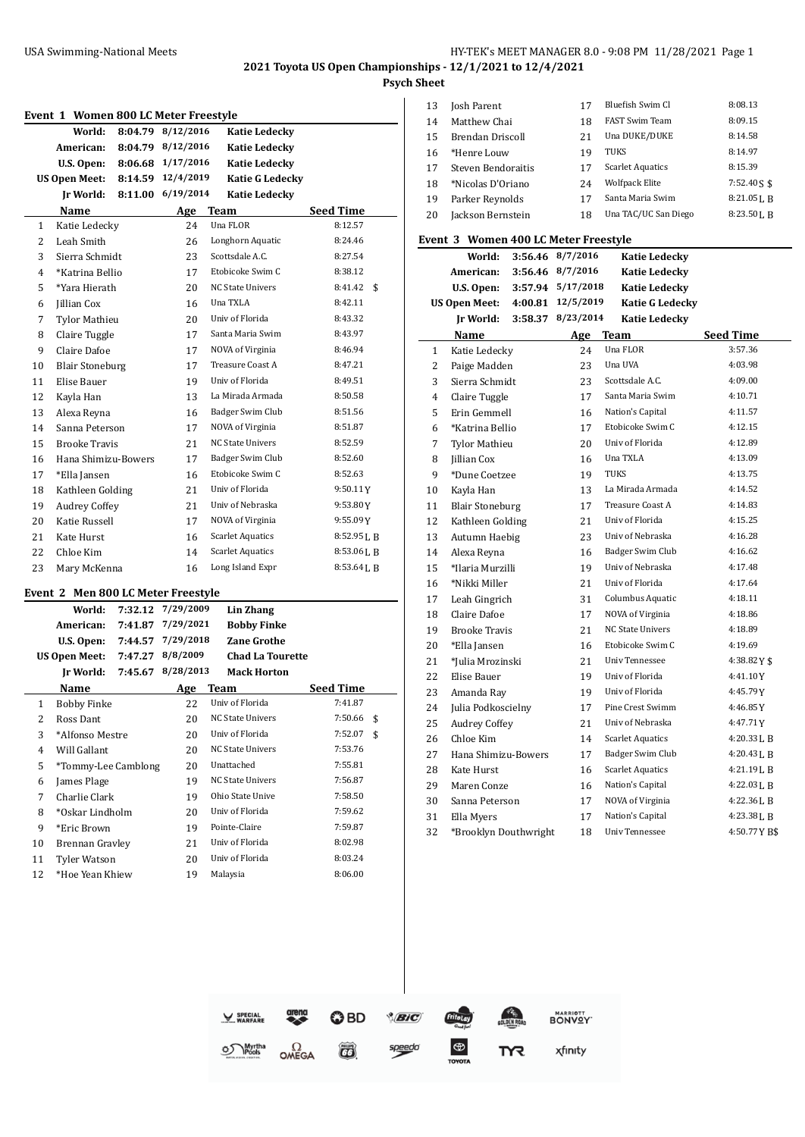# USA Swimming-National Meets **HY-TEK's MEET MANAGER 8.0 - 9:08 PM 11/28/2021** Page 1

**2021 Toyota US Open Championships - 12/1/2021 to 12/4/2021**

**Psych Sheet**

|                | World:<br>8:04.79               | 8/12/2016 | <b>Katie Ledecky</b>    |                  |
|----------------|---------------------------------|-----------|-------------------------|------------------|
|                | American:<br>8:04.79            | 8/12/2016 | <b>Katie Ledecky</b>    |                  |
|                | U.S. Open:<br>8:06.68           | 1/17/2016 | <b>Katie Ledecky</b>    |                  |
|                | <b>US Open Meet:</b><br>8:14.59 | 12/4/2019 | <b>Katie G Ledecky</b>  |                  |
|                | Ir World:<br>8:11.00            | 6/19/2014 | <b>Katie Ledecky</b>    |                  |
|                | <b>Name</b>                     | Age       | <b>Team</b>             | <b>Seed Time</b> |
| $\mathbf{1}$   | Katie Ledecky                   | 24        | Una FLOR                | 8:12.57          |
| $\overline{2}$ | Leah Smith                      | 26        | Longhorn Aquatic        | 8:24.46          |
| 3              | Sierra Schmidt                  | 23        | Scottsdale A.C.         | 8:27.54          |
| $\overline{4}$ | *Katrina Bellio                 | 17        | Etobicoke Swim C        | 8:38.12          |
| 5              | *Yara Hierath                   | 20        | <b>NC State Univers</b> | 8:41.42<br>\$    |
| 6              | <b>Jillian Cox</b>              | 16        | Una TXLA                | 8:42.11          |
| 7              | <b>Tylor Mathieu</b>            | 20        | Univ of Florida         | 8:43.32          |
| 8              | Claire Tuggle                   | 17        | Santa Maria Swim        | 8:43.97          |
| 9              | Claire Dafoe                    | 17        | NOVA of Virginia        | 8:46.94          |
| 10             | <b>Blair Stoneburg</b>          | 17        | Treasure Coast A        | 8:47.21          |
| 11             | Elise Bauer                     | 19        | Univ of Florida         | 8:49.51          |
| 12             | Kayla Han                       | 13        | La Mirada Armada        | 8:50.58          |
| 13             | Alexa Reyna                     | 16        | Badger Swim Club        | 8:51.56          |
| 14             | Sanna Peterson                  | 17        | NOVA of Virginia        | 8:51.87          |
| 15             | <b>Brooke Travis</b>            | 21        | <b>NC State Univers</b> | 8:52.59          |
| 16             | Hana Shimizu-Bowers             | 17        | Badger Swim Club        | 8:52.60          |
| 17             | *Ella Jansen                    | 16        | Etobicoke Swim C        | 8:52.63          |
| 18             | Kathleen Golding                | 21        | Univ of Florida         | 9:50.11Y         |
| 19             | <b>Audrey Coffey</b>            | 21        | Univ of Nebraska        | 9:53.80Y         |
| 20             | Katie Russell                   | 17        | NOVA of Virginia        | 9:55.09Y         |
| 21             | Kate Hurst                      | 16        | <b>Scarlet Aquatics</b> | 8:52.95LB        |
| 22             | Chloe Kim                       | 14        | <b>Scarlet Aquatics</b> | 8:53.06 L B      |
| 23             | Mary McKenna                    | 16        | Long Island Expr        | 8:53.64LB        |

|    | World:               | 7:32.12 | 7/29/2009 | Lin Zhang               |                  |    |
|----|----------------------|---------|-----------|-------------------------|------------------|----|
|    | American:            | 7:41.87 | 7/29/2021 | <b>Bobby Finke</b>      |                  |    |
|    | U.S. Open:           | 7:44.57 | 7/29/2018 | Zane Grothe             |                  |    |
|    | <b>US Open Meet:</b> | 7:47.27 | 8/8/2009  | <b>Chad La Tourette</b> |                  |    |
|    | Ir World:            | 7:45.67 | 8/28/2013 | <b>Mack Horton</b>      |                  |    |
|    | Name                 |         | Age       | Team                    | <b>Seed Time</b> |    |
| 1  | Bobby Finke          |         | 22        | Univ of Florida         | 7:41.87          |    |
| 2  | Ross Dant            |         | 20        | <b>NC State Univers</b> | 7:50.66          | \$ |
| 3  | *Alfonso Mestre      |         | 20        | Univ of Florida         | 7:52.07          | \$ |
| 4  | Will Gallant         |         | 20        | <b>NC State Univers</b> | 7:53.76          |    |
| 5  | *Tommy-Lee Camblong  |         | 20        | Unattached              | 7:55.81          |    |
| 6  | James Plage          |         | 19        | <b>NC State Univers</b> | 7:56.87          |    |
| 7  | Charlie Clark        |         | 19        | Ohio State Unive        | 7:58.50          |    |
| 8  | *Oskar Lindholm      |         | 20        | Univ of Florida         | 7:59.62          |    |
| 9  | *Eric Brown          |         | 19        | Pointe-Claire           | 7:59.87          |    |
| 10 | Brennan Gravley      |         | 21        | Univ of Florida         | 8:02.98          |    |
| 11 | Tyler Watson         |         | 20        | Univ of Florida         | 8:03.24          |    |
| 12 | *Hoe Yean Khiew      |         | 19        | Malaysia                | 8:06.00          |    |

| 13 | Josh Parent        | 17 | Bluefish Swim Cl        | 8:08.13                |
|----|--------------------|----|-------------------------|------------------------|
| 14 | Matthew Chai       | 18 | <b>FAST Swim Team</b>   | 8:09.15                |
| 15 | Brendan Driscoll   | 21 | Una DUKE/DUKE           | 8:14.58                |
| 16 | *Henre Louw        | 19 | <b>TUKS</b>             | 8:14.97                |
| 17 | Steven Bendoraitis | 17 | <b>Scarlet Aquatics</b> | 8:15.39                |
| 18 | *Nicolas D'Oriano  | 24 | <b>Wolfpack Elite</b>   | $7:52.40S$ \$          |
| 19 | Parker Reynolds    | 17 | Santa Maria Swim        | $8:21.05$ J, B         |
| 20 | Jackson Bernstein  | 18 | Una TAC/UC San Diego    | 8:23.50 <sub>L</sub> R |

#### **Event 3 Women 400 LC Meter Freestyle**

|              | World:                 | 3:56.46 | 8/7/2016  | <b>Katie Ledecky</b>    |                |
|--------------|------------------------|---------|-----------|-------------------------|----------------|
|              | American:              | 3:56.46 | 8/7/2016  | <b>Katie Ledecky</b>    |                |
|              | U.S. Open:             | 3:57.94 | 5/17/2018 | <b>Katie Ledecky</b>    |                |
|              | US Open Meet:          | 4:00.81 | 12/5/2019 | <b>Katie G Ledecky</b>  |                |
|              | Ir World:              | 3:58.37 | 8/23/2014 | <b>Katie Ledecky</b>    |                |
|              | Name                   |         | Age       | <b>Team</b>             | Seed Time      |
| $\mathbf{1}$ | Katie Ledecky          |         | 24        | Una FLOR                | 3:57.36        |
| 2            | Paige Madden           |         | 23        | Una UVA                 | 4:03.98        |
| 3            | Sierra Schmidt         |         | 23        | Scottsdale A.C.         | 4:09.00        |
| 4            | Claire Tuggle          |         | 17        | Santa Maria Swim        | 4:10.71        |
| 5            | Erin Gemmell           |         | 16        | Nation's Capital        | 4:11.57        |
| 6            | *Katrina Bellio        |         | 17        | Etobicoke Swim C        | 4:12.15        |
| 7            | <b>Tylor Mathieu</b>   |         | 20        | Univ of Florida         | 4:12.89        |
| 8            | Jillian Cox            |         | 16        | Una TXLA                | 4:13.09        |
| 9            | *Dune Coetzee          |         | 19        | <b>TUKS</b>             | 4:13.75        |
| 10           | Kayla Han              |         | 13        | La Mirada Armada        | 4:14.52        |
| 11           | <b>Blair Stoneburg</b> |         | 17        | Treasure Coast A        | 4:14.83        |
| 12           | Kathleen Golding       |         | 21        | Univ of Florida         | 4:15.25        |
| 13           | Autumn Haebig          |         | 23        | Univ of Nebraska        | 4:16.28        |
| 14           | Alexa Reyna            |         | 16        | Badger Swim Club        | 4:16.62        |
| 15           | *Ilaria Murzilli       |         | 19        | Univ of Nebraska        | 4:17.48        |
| 16           | *Nikki Miller          |         | 21        | Univ of Florida         | 4:17.64        |
| 17           | Leah Gingrich          |         | 31        | Columbus Aquatic        | 4:18.11        |
| 18           | Claire Dafoe           |         | 17        | NOVA of Virginia        | 4:18.86        |
| 19           | <b>Brooke Travis</b>   |         | 21        | <b>NC State Univers</b> | 4:18.89        |
| 20           | *Ella Jansen           |         | 16        | Etobicoke Swim C        | 4:19.69        |
| 21           | *Julia Mrozinski       |         | 21        | Univ Tennessee          | 4:38.82 $Y$ \$ |
| 22           | Elise Bauer            |         | 19        | Univ of Florida         | 4:41.10Y       |
| 23           | Amanda Ray             |         | 19        | Univ of Florida         | 4:45.79Y       |
| 24           | Julia Podkoscielny     |         | 17        | Pine Crest Swimm        | 4:46.85Y       |
| 25           | <b>Audrey Coffey</b>   |         | 21        | Univ of Nebraska        | 4:47.71Y       |
| 26           | Chloe Kim              |         | 14        | <b>Scarlet Aquatics</b> | 4:20.33LB      |
| 27           | Hana Shimizu-Bowers    |         | 17        | Badger Swim Club        | 4:20.43 L B    |
| 28           | Kate Hurst             |         | 16        | <b>Scarlet Aquatics</b> | 4:21.19LB      |
| 29           | Maren Conze            |         | 16        | Nation's Capital        | 4:22.03LB      |
| 30           | Sanna Peterson         |         | 17        | NOVA of Virginia        | 4:22.36LB      |
| 31           | Ella Myers             |         | 17        | Nation's Capital        | 4:23.38LB      |
| 32           | *Brooklyn Douthwright  |         | 18        | <b>Univ Tennessee</b>   | 4:50.77YB\$    |

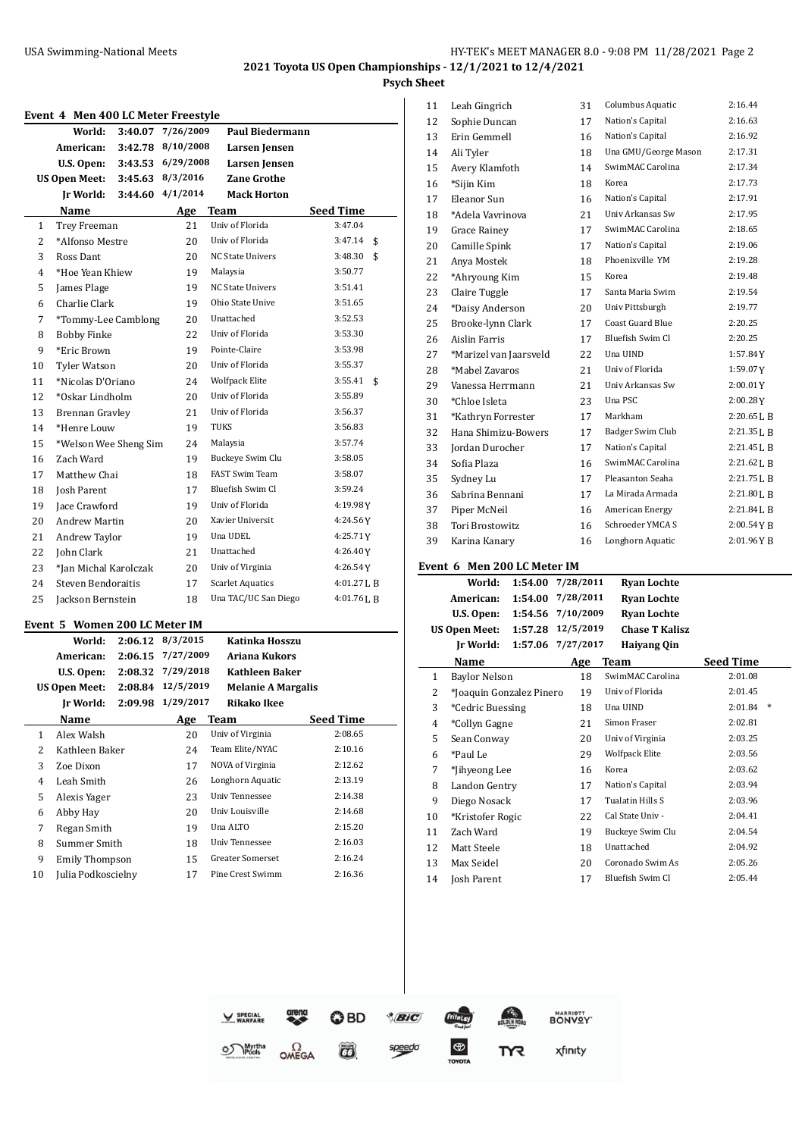|                | Event 4 Men 400 LC Meter Freestyle          |         |                                        |                                        |                  |
|----------------|---------------------------------------------|---------|----------------------------------------|----------------------------------------|------------------|
|                | World:                                      | 3:40.07 | 7/26/2009                              | <b>Paul Biedermann</b>                 |                  |
|                | American:                                   | 3:42.78 | 8/10/2008                              | Larsen Jensen                          |                  |
|                | U.S. Open:                                  |         | 3:43.53 6/29/2008                      | Larsen Jensen                          |                  |
|                | <b>US Open Meet:</b>                        | 3:45.63 | 8/3/2016                               | <b>Zane Grothe</b>                     |                  |
|                | Ir World:                                   | 3:44.60 | 4/1/2014                               | <b>Mack Horton</b>                     |                  |
|                | Name                                        |         | <u>Age</u>                             | Team                                   | Seed Time        |
| 1              | Trey Freeman                                |         | 21                                     | Univ of Florida                        | 3:47.04          |
| $\overline{2}$ | *Alfonso Mestre                             |         | 20                                     | Univ of Florida                        | 3:47.14<br>\$    |
| 3              | Ross Dant                                   |         | 20                                     | <b>NC State Univers</b>                | 3:48.30<br>\$    |
| 4              | *Hoe Yean Khiew                             |         | 19                                     | Malaysia                               | 3:50.77          |
| 5              | James Plage                                 |         | 19                                     | <b>NC State Univers</b>                | 3:51.41          |
| 6              | Charlie Clark                               |         | 19                                     | Ohio State Unive                       | 3:51.65          |
| 7              | *Tommy-Lee Camblong                         |         | 20                                     | Unattached                             | 3:52.53          |
| 8              | Bobby Finke                                 |         | 22                                     | Univ of Florida                        | 3:53.30          |
| 9              | *Eric Brown                                 |         | 19                                     | Pointe-Claire                          | 3:53.98          |
| 10             | Tyler Watson                                |         | 20                                     | Univ of Florida                        | 3:55.37          |
| 11             | *Nicolas D'Oriano                           |         | 24                                     | Wolfpack Elite                         | 3:55.41<br>\$    |
| 12             | *Oskar Lindholm                             |         | 20                                     | Univ of Florida                        | 3:55.89          |
| 13             | Brennan Gravley                             |         | 21                                     | Univ of Florida                        | 3:56.37          |
| 14             | *Henre Louw                                 |         | 19                                     | TUKS                                   | 3:56.83          |
| 15             | *Welson Wee Sheng Sim                       |         | 24                                     | Malaysia                               | 3:57.74          |
| 16             | Zach Ward                                   |         | 19                                     | Buckeye Swim Clu                       | 3:58.05          |
| 17             | Matthew Chai                                |         | 18                                     | FAST Swim Team                         | 3:58.07          |
| 18             | Josh Parent                                 |         | 17                                     | Bluefish Swim Cl                       | 3:59.24          |
| 19             | Jace Crawford                               |         | 19                                     | Univ of Florida                        | 4:19.98Y         |
| 20             | <b>Andrew Martin</b>                        |         | 20                                     | Xavier Universit                       | 4:24.56Y         |
| 21             | Andrew Taylor                               |         | 19                                     | Una UDEL                               | 4:25.71Y         |
| 22             | John Clark                                  |         | 21                                     | Unattached                             | 4:26.40Y         |
| 23             | *Jan Michal Karolczak                       |         | 20                                     | Univ of Virginia                       | 4:26.54Y         |
| 24             | Steven Bendoraitis                          |         | 17                                     | <b>Scarlet Aquatics</b>                | 4:01.27 L B      |
| 25             | Jackson Bernstein                           |         | 18                                     | Una TAC/UC San Diego                   | 4:01.76LB        |
|                |                                             |         |                                        |                                        |                  |
|                | Event 5 Women 200 LC Meter IM               |         |                                        |                                        |                  |
|                | World:                                      |         | 2:06.12 8/3/2015                       | Katinka Hosszu                         |                  |
|                | American:                                   |         | 2:06.15 7/27/2009<br>2:08.32 7/29/2018 | Ariana Kukors<br><b>Kathleen Baker</b> |                  |
|                | U.S. Open:<br><b>US Open Meet:</b>          |         | 2:08.84 12/5/2019                      | <b>Melanie A Margalis</b>              |                  |
|                | Jr World:                                   | 2:09.98 | 1/29/2017                              | <b>Rikako Ikee</b>                     |                  |
|                | <b>Name</b>                                 |         |                                        | <b>Team</b>                            | <b>Seed Time</b> |
| 1              | Alex Walsh                                  |         | <u>Age</u><br>20                       | Univ of Virginia                       | 2:08.65          |
| 2              | Kathleen Baker                              |         | 24                                     | Team Elite/NYAC                        | 2:10.16          |
| 3              | Zoe Dixon                                   |         | 17                                     | NOVA of Virginia                       | 2:12.62          |
| 4              | Leah Smith                                  |         | 26                                     | Longhorn Aquatic                       | 2:13.19          |
| 5              | Alexis Yager                                |         | 23                                     | <b>Univ Tennessee</b>                  | 2:14.38          |
|                | Abby Hay                                    |         |                                        | Univ Louisville                        | 2:14.68          |
| 6              | Regan Smith                                 |         | 20                                     | Una ALTO                               | 2:15.20          |
| 7              | Summer Smith                                |         | 19                                     | Univ Tennessee                         | 2:16.03          |
| 8              |                                             |         | 18                                     | Greater Somerset                       | 2:16.24          |
| 9<br>10        | <b>Emily Thompson</b><br>Iulia Podkoscielny |         | 15<br>17                               | Pine Crest Swimm                       | 2:16.36          |

10 Julia Podkoscielny 17 Pine Crest Swimm

|         | World:<br>1:54.00      | 7/28/2011 | <b>Rvan Lochte</b>      |                |
|---------|------------------------|-----------|-------------------------|----------------|
| Event 6 | Men 200 LC Meter IM    |           |                         |                |
| 39      | Karina Kanary          | 16        | Longhorn Aquatic        | 2:01.96YB      |
| 38      | <b>Tori Brostowitz</b> | 16        | Schroeder YMCA S        | 2:00.54YB      |
| 37      | Piper McNeil           | 16        | American Energy         | $2:21.84$ J, B |
| 36      | Sabrina Bennani        | 17        | La Mirada Armada        | 2:21.80 L B    |
| 35      | Sydney Lu              | 17        | Pleasanton Seaha        | 2:21.75 L B    |
| 34      | Sofia Plaza            | 16        | SwimMAC Carolina        | 2:21.62LB      |
| 33      | Jordan Durocher        | 17        | Nation's Capital        | $2:21.45$ J, B |
| 32      | Hana Shimizu-Bowers    | 17        | Badger Swim Club        | 2:21.35 L B    |
| 31      | *Kathryn Forrester     | 17        | Markham                 | $2:20.65$ J, B |
| 30      | *Chloe Isleta          | 23        | Una PSC                 | 2:00.28Y       |
| 29      | Vanessa Herrmann       | 21        | Univ Arkansas Sw        | 2:00.01Y       |
| 28      | *Mabel Zavaros         | 21        | Univ of Florida         | 1:59.07Y       |
| 27      | *Marizel van Jaarsveld | 22        | Una UIND                | 1:57.84Y       |
| 26      | Aislin Farris          | 17        | Bluefish Swim Cl        | 2:20.25        |
| 25      | Brooke-lynn Clark      | 17        | <b>Coast Guard Blue</b> | 2:20.25        |
| 24      | *Daisy Anderson        | 20        | Univ Pittsburgh         | 2:19.77        |
| 23      | Claire Tuggle          | 17        | Santa Maria Swim        | 2:19.54        |
| 22      | *Ahryoung Kim          | 15        | Korea                   | 2:19.48        |
| 21      | Anya Mostek            | 18        | Phoenixville YM         | 2:19.28        |
| 20      | Camille Spink          | 17        | Nation's Capital        | 2:19.06        |
| 19      | <b>Grace Rainey</b>    | 17        | SwimMAC Carolina        | 2:18.65        |
| 18      | *Adela Vavrinova       | 21        | Univ Arkansas Sw        | 2:17.95        |
| 17      | Eleanor Sun            | 16        | Nation's Capital        | 2:17.91        |
| 16      | *Sijin Kim             | 18        | Korea                   | 2:17.73        |
| 15      | Avery Klamfoth         | 14        | SwimMAC Carolina        | 2:17.34        |
| 14      | Ali Tyler              | 18        | Una GMU/George Mason    | 2:17.31        |
| 13      | Erin Gemmell           | 16        | Nation's Capital        | 2:16.92        |
| 12      | Sophie Duncan          | 17        | Nation's Capital        | 2:16.63        |
| 11      | Leah Gingrich          | 31        | Columbus Aquatic        | 2:16.44        |

|    | втене о плен доо ве месет пл |         |           |                       |                  |        |
|----|------------------------------|---------|-----------|-----------------------|------------------|--------|
|    | World:                       | 1:54.00 | 7/28/2011 | <b>Ryan Lochte</b>    |                  |        |
|    | American:                    | 1:54.00 | 7/28/2011 | <b>Ryan Lochte</b>    |                  |        |
|    | U.S. Open:                   | 1:54.56 | 7/10/2009 | <b>Ryan Lochte</b>    |                  |        |
|    | <b>US Open Meet:</b>         | 1:57.28 | 12/5/2019 | <b>Chase T Kalisz</b> |                  |        |
|    | Ir World:                    | 1:57.06 | 7/27/2017 | Haiyang Qin           |                  |        |
|    | Name                         |         | Age       | Team                  | <b>Seed Time</b> |        |
| 1  | <b>Baylor Nelson</b>         |         | 18        | SwimMAC Carolina      | 2:01.08          |        |
| 2  | *Joaquin Gonzalez Pinero     |         | 19        | Univ of Florida       | 2:01.45          |        |
| 3  | *Cedric Buessing             |         | 18        | Una UIND              | 2:01.84          | $\ast$ |
| 4  | *Collyn Gagne                |         | 21        | Simon Fraser          | 2:02.81          |        |
| 5  | Sean Conway                  |         | 20        | Univ of Virginia      | 2:03.25          |        |
| 6  | *Paul Le                     |         | 29        | <b>Wolfpack Elite</b> | 2:03.56          |        |
| 7  | *Jihyeong Lee                |         | 16        | Korea                 | 2:03.62          |        |
| 8  | Landon Gentry                |         | 17        | Nation's Capital      | 2:03.94          |        |
| 9  | Diego Nosack                 |         | 17        | Tualatin Hills S      | 2:03.96          |        |
| 10 | *Kristofer Rogic             |         | 22        | Cal State Univ -      | 2:04.41          |        |
| 11 | Zach Ward                    |         | 19        | Buckeye Swim Clu      | 2:04.54          |        |
| 12 | Matt Steele                  |         | 18        | Unattached            | 2:04.92          |        |
| 13 | Max Seidel                   |         | 20        | Coronado Swim As      | 2:05.26          |        |
| 14 | Iosh Parent                  |         | 17        | Bluefish Swim Cl      | 2:05.44          |        |

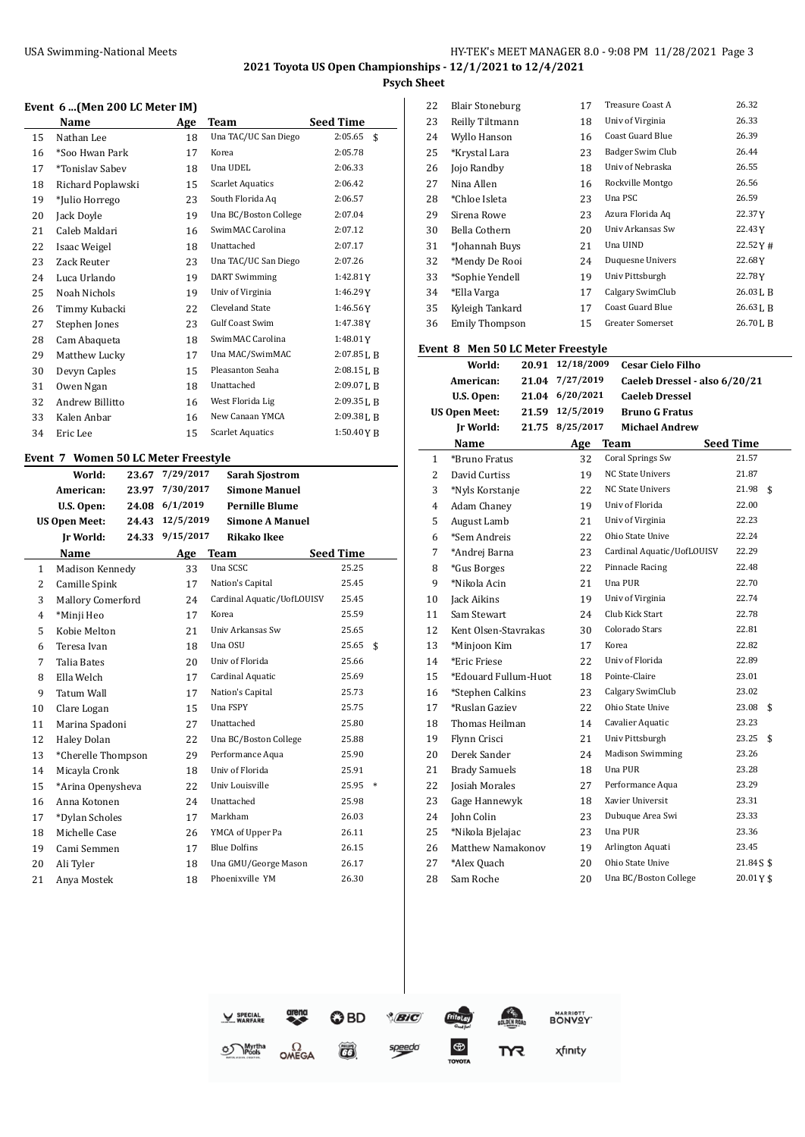#### **Event 6 ...(Men 200 LC Meter IM)**

|    | Name              | Age | <b>Team</b>             | <b>Seed Time</b> |
|----|-------------------|-----|-------------------------|------------------|
| 15 | Nathan Lee        | 18  | Una TAC/UC San Diego    | 2:05.65<br>\$    |
| 16 | *Soo Hwan Park    | 17  | Korea                   | 2:05.78          |
| 17 | *Tonislav Sabev   | 18  | Una UDEL                | 2:06.33          |
| 18 | Richard Poplawski | 15  | <b>Scarlet Aquatics</b> | 2:06.42          |
| 19 | *Julio Horrego    | 23  | South Florida Aq        | 2:06.57          |
| 20 | Jack Doyle        | 19  | Una BC/Boston College   | 2:07.04          |
| 21 | Caleb Maldari     | 16  | SwimMAC Carolina        | 2:07.12          |
| 22 | Isaac Weigel      | 18  | Unattached              | 2:07.17          |
| 23 | Zack Reuter       | 23  | Una TAC/UC San Diego    | 2:07.26          |
| 24 | Luca Urlando      | 19  | <b>DART</b> Swimming    | 1:42.81Y         |
| 25 | Noah Nichols      | 19  | Univ of Virginia        | 1:46.29Y         |
| 26 | Timmy Kubacki     | 22  | <b>Cleveland State</b>  | 1:46.56Y         |
| 27 | Stephen Jones     | 23  | <b>Gulf Coast Swim</b>  | 1:47.38Y         |
| 28 | Cam Abaqueta      | 18  | SwimMAC Carolina        | 1:48.01Y         |
| 29 | Matthew Lucky     | 17  | Una MAC/SwimMAC         | 2:07.85 L B      |
| 30 | Devyn Caples      | 15  | Pleasanton Seaha        | 2:08.15 L B      |
| 31 | Owen Ngan         | 18  | Unattached              | 2:09.07LB        |
| 32 | Andrew Billitto   | 16  | West Florida Lig        | 2:09.35 L B      |
| 33 | Kalen Anbar       | 16  | New Canaan YMCA         | 2:09.38LB        |
| 34 | Eric Lee          | 15  | <b>Scarlet Aquatics</b> | 1:50.40YB        |
|    |                   |     |                         |                  |

# **Event 7 Women 50 LC Meter Freestyle**

|              | World:                   | 23.67 | 7/29/2017 | <b>Sarah Sjostrom</b>      |                  |        |
|--------------|--------------------------|-------|-----------|----------------------------|------------------|--------|
|              | American:                | 23.97 | 7/30/2017 | <b>Simone Manuel</b>       |                  |        |
|              | U.S. Open:               | 24.08 | 6/1/2019  | <b>Pernille Blume</b>      |                  |        |
|              | <b>US Open Meet:</b>     | 24.43 | 12/5/2019 | <b>Simone A Manuel</b>     |                  |        |
|              | <b>Jr World:</b>         | 24.33 | 9/15/2017 | <b>Rikako Ikee</b>         |                  |        |
|              | Name                     |       | Age       | Team                       | <b>Seed Time</b> |        |
| $\mathbf{1}$ | Madison Kennedy          |       | 33        | Una SCSC                   | 25.25            |        |
| 2            | Camille Spink            |       | 17        | Nation's Capital           | 25.45            |        |
| 3            | <b>Mallory Comerford</b> |       | 24        | Cardinal Aquatic/UofLOUISV | 25.45            |        |
| 4            | *Minji Heo               |       | 17        | Korea                      | 25.59            |        |
| 5            | Kobie Melton             |       | 21        | Univ Arkansas Sw           | 25.65            |        |
| 6            | Teresa Ivan              |       | 18        | Una OSU                    | 25.65            | \$     |
| 7            | Talia Bates              |       | 20        | Univ of Florida            | 25.66            |        |
| 8            | Ella Welch               |       | 17        | Cardinal Aquatic           | 25.69            |        |
| 9            | <b>Tatum Wall</b>        |       | 17        | Nation's Capital           | 25.73            |        |
| 10           | Clare Logan              |       | 15        | Una FSPY                   | 25.75            |        |
| 11           | Marina Spadoni           |       | 27        | Unattached                 | 25.80            |        |
| 12           | <b>Haley Dolan</b>       |       | 22        | Una BC/Boston College      | 25.88            |        |
| 13           | *Cherelle Thompson       |       | 29        | Performance Aqua           | 25.90            |        |
| 14           | Micayla Cronk            |       | 18        | Univ of Florida            | 25.91            |        |
| 15           | *Arina Openysheva        |       | 22        | Univ Louisville            | 25.95            | $\ast$ |
| 16           | Anna Kotonen             |       | 24        | Unattached                 | 25.98            |        |
| 17           | *Dylan Scholes           |       | 17        | Markham                    | 26.03            |        |
| 18           | Michelle Case            |       | 26        | YMCA of Upper Pa           | 26.11            |        |
| 19           | Cami Semmen              |       | 17        | <b>Blue Dolfins</b>        | 26.15            |        |
| 20           | Ali Tyler                |       | 18        | Una GMU/George Mason       | 26.17            |        |
| 21           | Anya Mostek              |       | 18        | Phoenixville YM            | 26.30            |        |
|              |                          |       |           |                            |                  |        |

| 22 | <b>Blair Stoneburg</b> | 17 | Treasure Coast A        | 26.32      |
|----|------------------------|----|-------------------------|------------|
| 23 | Reilly Tiltmann        | 18 | Univ of Virginia        | 26.33      |
| 24 | Wyllo Hanson           | 16 | <b>Coast Guard Blue</b> | 26.39      |
| 25 | *Krystal Lara          | 23 | Badger Swim Club        | 26.44      |
| 26 | Jojo Randby            | 18 | Univ of Nebraska        | 26.55      |
| 27 | Nina Allen             | 16 | Rockville Montgo        | 26.56      |
| 28 | *Chloe Isleta          | 23 | Una PSC                 | 26.59      |
| 29 | Sirena Rowe            | 23 | Azura Florida Aq        | 22.37Y     |
| 30 | Bella Cothern          | 20 | Univ Arkansas Sw        | 22.43Y     |
| 31 | *Johannah Buys         | 21 | Una UIND                | 22.52Y#    |
| 32 | *Mendy De Rooi         | 24 | Duquesne Univers        | 22.68Y     |
| 33 | *Sophie Yendell        | 19 | Univ Pittsburgh         | 22.78Y     |
| 34 | *Ella Varga            | 17 | Calgary SwimClub        | 26.03 L B  |
| 35 | Kyleigh Tankard        | 17 | Coast Guard Blue        | 26.63 J.B  |
| 36 | Emily Thompson         | 15 | <b>Greater Somerset</b> | 26.70 J, B |

# **Event 8 Men 50 LC Meter Freestyle**

|                | World:<br>20.91           | 12/18/2009      | <b>Cesar Cielo Filho</b>      |                  |
|----------------|---------------------------|-----------------|-------------------------------|------------------|
|                | American:<br>21.04        | 7/27/2019       | Caeleb Dressel - also 6/20/21 |                  |
|                | U.S. Open:                | 21.04 6/20/2021 | <b>Caeleh Dressel</b>         |                  |
|                | <b>US Open Meet:</b>      | 21.59 12/5/2019 | <b>Bruno G Fratus</b>         |                  |
|                | <b>Jr World:</b><br>21.75 | 8/25/2017       | <b>Michael Andrew</b>         |                  |
|                | Name                      | Age             | <b>Team</b>                   | <b>Seed Time</b> |
| $\mathbf{1}$   | *Bruno Fratus             | 32              | <b>Coral Springs Sw</b>       | 21.57            |
| $\overline{2}$ | David Curtiss             | 19              | <b>NC State Univers</b>       | 21.87            |
| 3              | *Nyls Korstanje           | 22              | <b>NC State Univers</b>       | 21.98<br>\$      |
| 4              | Adam Chaney               | 19              | Univ of Florida               | 22.00            |
| 5              | August Lamb               | 21              | Univ of Virginia              | 22.23            |
| 6              | *Sem Andreis              | 22              | Ohio State Unive              | 22.24            |
| 7              | *Andrej Barna             | 23              | Cardinal Aquatic/UofLOUISV    | 22.29            |
| 8              | *Gus Borges               | 22              | Pinnacle Racing               | 22.48            |
| 9              | *Nikola Acin              | 21              | Una PUR                       | 22.70            |
| 10             | Jack Aikins               | 19              | Univ of Virginia              | 22.74            |
| 11             | Sam Stewart               | 24              | Club Kick Start               | 22.78            |
| 12             | Kent Olsen-Stavrakas      | 30              | Colorado Stars                | 22.81            |
| 13             | *Minjoon Kim              | 17              | Korea                         | 22.82            |
| 14             | *Eric Friese              | 22              | Univ of Florida               | 22.89            |
| 15             | *Edouard Fullum-Huot      | 18              | Pointe-Claire                 | 23.01            |
| 16             | *Stephen Calkins          | 23              | Calgary SwimClub              | 23.02            |
| 17             | *Ruslan Gaziev            | 22              | Ohio State Unive              | 23.08<br>\$      |
| 18             | Thomas Heilman            | 14              | Cavalier Aquatic              | 23.23            |
| 19             | Flynn Crisci              | 21              | Univ Pittsburgh               | 23.25<br>\$      |
| 20             | Derek Sander              | 24              | <b>Madison Swimming</b>       | 23.26            |
| 21             | <b>Brady Samuels</b>      | 18              | Una PUR                       | 23.28            |
| 22             | <b>Josiah Morales</b>     | 27              | Performance Aqua              | 23.29            |
| 23             | Gage Hannewyk             | 18              | Xavier Universit              | 23.31            |
| 24             | <b>John Colin</b>         | 23              | Dubuque Area Swi              | 23.33            |
| 25             | *Nikola Bjelajac          | 23              | Una PUR                       | 23.36            |
| 26             | Matthew Namakonov         | 19              | Arlington Aquati              | 23.45            |
| 27             | *Alex Quach               | 20              | Ohio State Unive              | 21.845\$         |
| 28             | Sam Roche                 | 20              | Una BC/Boston College         | 20.01Y\$         |

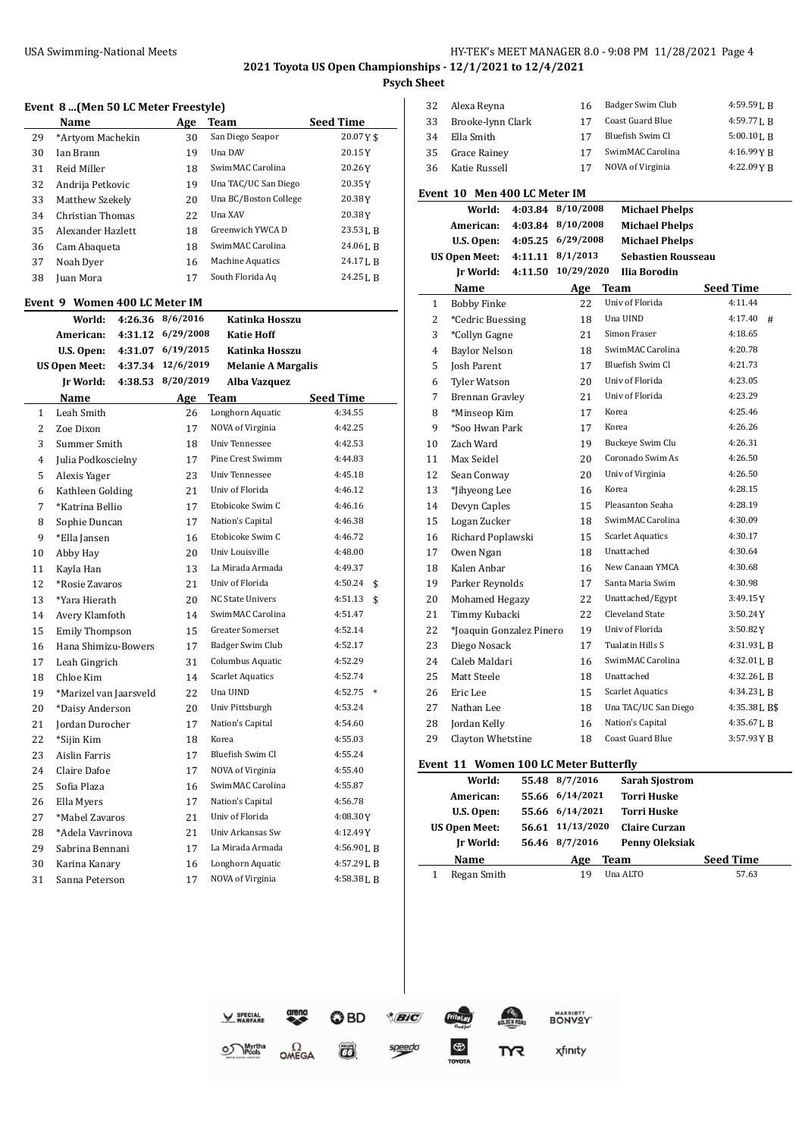# USA Swimming-National Meets **HY-TEK's MEET MANAGER 8.0 - 9:08 PM 11/28/2021** Page 4

**2021 Toyota US Open Championships - 12/1/2021 to 12/4/2021 Psych Sheet**

#### **Event 8 ...(Men 50 LC Meter Freestyle)**

|    | Name                          |         | <b>Age</b> | <b>Team</b>               | <b>Seed Time</b>  |
|----|-------------------------------|---------|------------|---------------------------|-------------------|
| 29 | *Artyom Machekin              |         | 30         | San Diego Seapor          | 20.07Y\$          |
| 30 | Ian Brann                     |         | 19         | Una DAV                   | 20.15Y            |
| 31 | Reid Miller                   |         | 18         | SwimMAC Carolina          | 20.26Y            |
| 32 | Andrija Petkovic              |         | 19         | Una TAC/UC San Diego      | 20.35 Y           |
| 33 | Matthew Szekely               |         | 20         | Una BC/Boston College     | 20.38Y            |
| 34 | Christian Thomas              |         | 22         | Una XAV                   | 20.38Y            |
| 35 | Alexander Hazlett             |         | 18         | Greenwich YWCA D          | 23.53 L B         |
| 36 | Cam Abaqueta                  |         | 18         | SwimMAC Carolina          | 24.06 J.B         |
| 37 | Noah Dyer                     |         | 16         | <b>Machine Aquatics</b>   | 24.17LB           |
| 38 | Juan Mora                     |         | 17         | South Florida Aq          | 24.25 L B         |
|    |                               |         |            |                           |                   |
|    | Event 9 Women 400 LC Meter IM |         |            |                           |                   |
|    | World:                        | 4:26.36 | 8/6/2016   | Katinka Hosszu            |                   |
|    | American:                     | 4:31.12 | 6/29/2008  | <b>Katie Hoff</b>         |                   |
|    | U.S. Open:                    | 4:31.07 | 6/19/2015  | Katinka Hosszu            |                   |
|    | <b>US Open Meet:</b>          | 4:37.34 | 12/6/2019  | <b>Melanie A Margalis</b> |                   |
|    | Jr World:                     | 4:38.53 | 8/20/2019  | Alba Vazquez              |                   |
|    | Name                          |         | Age        | <b>Team</b>               | Seed Time         |
| 1  | Leah Smith                    |         | 26         | Longhorn Aquatic          | 4:34.55           |
| 2  | Zoe Dixon                     |         | 17         | NOVA of Virginia          | 4:42.25           |
| 3  | Summer Smith                  |         | 18         | <b>Univ Tennessee</b>     | 4:42.53           |
| 4  | Julia Podkoscielny            |         | 17         | Pine Crest Swimm          | 4:44.83           |
| 5  | Alexis Yager                  |         | 23         | Univ Tennessee            | 4:45.18           |
| 6  | Kathleen Golding              |         | 21         | Univ of Florida           | 4:46.12           |
| 7  | *Katrina Bellio               |         | 17         | Etobicoke Swim C          | 4:46.16           |
| 8  | Sophie Duncan                 |         | 17         | Nation's Capital          | 4:46.38           |
| 9  | *Ella Jansen                  |         | 16         | Etobicoke Swim C          | 4:46.72           |
| 10 | Abby Hay                      |         | 20         | Univ Louisville           | 4:48.00           |
| 11 | Kayla Han                     |         | 13         | La Mirada Armada          | 4:49.37           |
| 12 | *Rosie Zavaros                |         | 21         | Univ of Florida           | 4:50.24<br>\$     |
| 13 | *Yara Hierath                 |         | 20         | <b>NC State Univers</b>   | 4:51.13<br>\$     |
| 14 | Avery Klamfoth                |         | 14         | SwimMAC Carolina          | 4:51.47           |
| 15 | <b>Emily Thompson</b>         |         | 15         | Greater Somerset          | 4:52.14           |
| 16 | Hana Shimizu-Bowers           |         | 17         | Badger Swim Club          | 4:52.17           |
| 17 | Leah Gingrich                 |         | 31         | Columbus Aquatic          | 4:52.29           |
| 18 | Chloe Kim                     |         | 14         | <b>Scarlet Aquatics</b>   | 4:52.74           |
| 19 | *Marizel van Jaarsveld        |         | 22         | Una UIND                  | 4:52.75<br>$\ast$ |
| 20 | *Daisy Anderson               |         | 20         | Univ Pittsburgh           | 4:53.24           |
| 21 | Jordan Durocher               |         | 17         | Nation's Capital          | 4:54.60           |
| 22 | *Sijin Kim                    |         | 18         | Korea                     | 4:55.03           |
| 23 | Aislin Farris                 |         | 17         | Bluefish Swim Cl          | 4:55.24           |
| 24 | Claire Dafoe                  |         | 17         | NOVA of Virginia          | 4:55.40           |
| 25 | Sofia Plaza                   |         | 16         | SwimMAC Carolina          | 4:55.87           |
| 26 | Ella Myers                    |         | 17         | Nation's Capital          | 4:56.78           |
| 27 | *Mabel Zavaros                |         | 21         | Univ of Florida           | 4:08.30Y          |
| 28 | *Adela Vavrinova              |         | 21         | Univ Arkansas Sw          | 4:12.49Y          |
| 29 | Sabrina Bennani               |         | 17         | La Mirada Armada          | 4:56.90LB         |
| 30 | Karina Kanary                 |         | 16         | Longhorn Aquatic          | 4:57.29 L B       |
| 31 | Sanna Peterson                |         | 17         | NOVA of Virginia          | 4:58.38 L B       |

| 32 | Alexa Reyna       | 16 | Badger Swim Club | $4:59.59$ J, B |
|----|-------------------|----|------------------|----------------|
| 33 | Brooke-lynn Clark |    | Coast Guard Blue | 4:59.771. R    |
| 34 | Ella Smith        | 17 | Bluefish Swim Cl | $5:00.10$ J. R |
| 35 | Grace Rainey      | 17 | SwimMAC Carolina | 4:16.99 Y R    |
| 36 | Katie Russell     | 17 | NOVA of Virginia | 4:22.09YR      |
|    |                   |    |                  |                |

#### **Event 10 Men 400 LC Meter IM**

| Event 10 Men 400 LC Meter IM |                          |         |            |                           |                  |  |
|------------------------------|--------------------------|---------|------------|---------------------------|------------------|--|
|                              | World:                   | 4:03.84 | 8/10/2008  | <b>Michael Phelps</b>     |                  |  |
|                              | American:                | 4:03.84 | 8/10/2008  | <b>Michael Phelps</b>     |                  |  |
|                              | U.S. Open:               | 4:05.25 | 6/29/2008  | <b>Michael Phelps</b>     |                  |  |
|                              | <b>US Open Meet:</b>     | 4:11.11 | 8/1/2013   | <b>Sebastien Rousseau</b> |                  |  |
|                              | Ir World:                | 4:11.50 | 10/29/2020 | <b>Ilia Borodin</b>       |                  |  |
|                              | Name                     |         |            | Age Team                  | <b>Seed Time</b> |  |
| $\mathbf{1}$                 | <b>Bobby Finke</b>       |         | 22         | Univ of Florida           | 4:11.44          |  |
| 2                            | *Cedric Buessing         |         | 18         | Una UIND                  | 4:17.40#         |  |
| 3                            | *Collyn Gagne            |         | 21         | Simon Fraser              | 4:18.65          |  |
| 4                            | <b>Baylor Nelson</b>     |         | 18         | SwimMAC Carolina          | 4:20.78          |  |
| 5                            | <b>Josh Parent</b>       |         | 17         | Bluefish Swim Cl          | 4:21.73          |  |
| 6                            | <b>Tyler Watson</b>      |         | 20         | Univ of Florida           | 4:23.05          |  |
| 7                            | Brennan Gravley          |         | 21         | Univ of Florida           | 4:23.29          |  |
| 8                            | *Minseop Kim             |         | 17         | Korea                     | 4:25.46          |  |
| 9                            | *Soo Hwan Park           |         | 17         | Korea                     | 4:26.26          |  |
| 10                           | Zach Ward                |         | 19         | Buckeye Swim Clu          | 4:26.31          |  |
| 11                           | Max Seidel               |         | 20         | Coronado Swim As          | 4:26.50          |  |
| 12                           | Sean Conway              |         | 20         | Univ of Virginia          | 4:26.50          |  |
| 13                           | *Jihyeong Lee            |         | 16         | Korea                     | 4:28.15          |  |
| 14                           | Devyn Caples             |         | 15         | Pleasanton Seaha          | 4:28.19          |  |
| 15                           | Logan Zucker             |         | 18         | SwimMAC Carolina          | 4:30.09          |  |
| 16                           | Richard Poplawski        |         | 15         | <b>Scarlet Aquatics</b>   | 4:30.17          |  |
| 17                           | Owen Ngan                |         | 18         | Unattached                | 4:30.64          |  |
| 18                           | Kalen Anbar              |         | 16         | New Canaan YMCA           | 4:30.68          |  |
| 19                           | Parker Reynolds          |         | 17         | Santa Maria Swim          | 4:30.98          |  |
| 20                           | Mohamed Hegazy           |         | 22         | Unattached/Egypt          | 3:49.15Y         |  |
| 21                           | Timmy Kubacki            |         | 22.        | <b>Cleveland State</b>    | 3:50.24Y         |  |
| 22                           | *Joaquin Gonzalez Pinero |         | 19         | Univ of Florida           | 3:50.82Y         |  |
| 23                           | Diego Nosack             |         | 17         | Tualatin Hills S          | $4:31.93$ J, B   |  |
| 24                           | Caleb Maldari            |         | 16         | SwimMAC Carolina          | $4:32.01$ J, B   |  |
| 25                           | Matt Steele              |         | 18         | Unattached                | $4:32.26$ J, B   |  |
| 26                           | Eric Lee                 |         | 15         | <b>Scarlet Aquatics</b>   | $4:34.23$ J, B   |  |
| 27                           | Nathan Lee               |         | 18         | Una TAC/UC San Diego      | 4:35.38LB\$      |  |
| 28                           | Jordan Kelly             |         | 16         | Nation's Capital          | 4:35.67LB        |  |
| 29                           | Clayton Whetstine        |         | 18         | <b>Coast Guard Blue</b>   | 3:57.93YB        |  |
|                              |                          |         |            |                           |                  |  |

# **Event 11 Women 100 LC Meter Butterfly**

| World:               |       | 55.48 8/7/2016  | <b>Sarah Sjostrom</b> |                  |
|----------------------|-------|-----------------|-----------------------|------------------|
| American:            |       | 55.66 6/14/2021 | <b>Torri Huske</b>    |                  |
| U.S. Open:           |       | 55.66 6/14/2021 | <b>Torri Huske</b>    |                  |
| <b>US Open Meet:</b> | 56.61 | 11/13/2020      | <b>Claire Curzan</b>  |                  |
| Ir World:            |       | 56.46 8/7/2016  | <b>Penny Oleksiak</b> |                  |
| Name                 |       | Age             | <b>Team</b>           | <b>Seed Time</b> |
| Regan Smith          |       | 19              | Una ALTO              | 57.63            |



 $\overline{a}$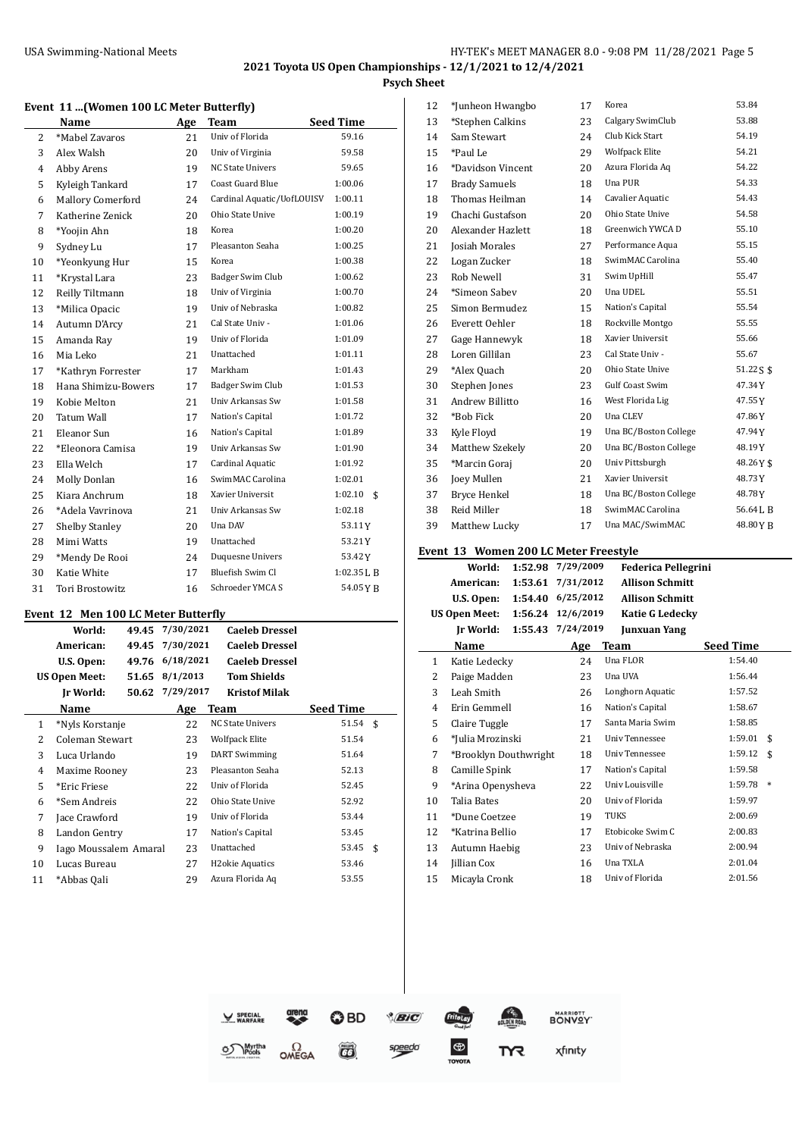# **Event 11 ...(Women 100 LC Meter Butterfly)**

| Name           |                          | Age | Team                       | <b>Seed Time</b> |
|----------------|--------------------------|-----|----------------------------|------------------|
| $\overline{2}$ | *Mabel Zavaros           | 21  | Univ of Florida            | 59.16            |
| 3              | Alex Walsh               | 20  | Univ of Virginia           | 59.58            |
| 4              | Abby Arens               | 19  | <b>NC State Univers</b>    | 59.65            |
| 5              | Kyleigh Tankard          | 17  | <b>Coast Guard Blue</b>    | 1:00.06          |
| 6              | <b>Mallory Comerford</b> | 24  | Cardinal Aquatic/UofLOUISV | 1:00.11          |
| 7              | Katherine Zenick         | 20  | Ohio State Unive           | 1:00.19          |
| 8              | *Yoojin Ahn              | 18  | Korea                      | 1:00.20          |
| 9              | Sydney Lu                | 17  | Pleasanton Seaha           | 1:00.25          |
| 10             | *Yeonkyung Hur           | 15  | Korea                      | 1:00.38          |
| 11             | *Krystal Lara            | 23  | Badger Swim Club           | 1:00.62          |
| 12             | Reilly Tiltmann          | 18  | Univ of Virginia           | 1:00.70          |
| 13             | *Milica Opacic           | 19  | Univ of Nebraska           | 1:00.82          |
| 14             | Autumn D'Arcy            | 21  | Cal State Univ -           | 1:01.06          |
| 15             | Amanda Ray               | 19  | Univ of Florida            | 1:01.09          |
| 16             | Mia Leko                 | 21  | Unattached                 | 1:01.11          |
| 17             | *Kathryn Forrester       | 17  | Markham                    | 1:01.43          |
| 18             | Hana Shimizu-Bowers      | 17  | Badger Swim Club           | 1:01.53          |
| 19             | Kobie Melton             | 21  | Univ Arkansas Sw           | 1:01.58          |
| 20             | <b>Tatum Wall</b>        | 17  | Nation's Capital           | 1:01.72          |
| 21             | Eleanor Sun              | 16  | Nation's Capital           | 1:01.89          |
| 22             | *Eleonora Camisa         | 19  | Univ Arkansas Sw           | 1:01.90          |
| 23             | Ella Welch               | 17  | Cardinal Aquatic           | 1:01.92          |
| 24             | Molly Donlan             | 16  | SwimMAC Carolina           | 1:02.01          |
| 25             | Kiara Anchrum            | 18  | Xavier Universit           | 1:02.10<br>\$    |
| 26             | *Adela Vavrinova         | 21  | Univ Arkansas Sw           | 1:02.18          |
| 27             | <b>Shelby Stanley</b>    | 20  | Una DAV                    | 53.11Y           |
| 28             | Mimi Watts               | 19  | Unattached                 | 53.21Y           |
| 29             | *Mendy De Rooi           | 24  | Duquesne Univers           | 53.42Y           |
| 30             | Katie White              | 17  | Bluefish Swim Cl           | 1:02.35 L B      |
| 31             | <b>Tori Brostowitz</b>   | 16  | Schroeder YMCA S           | 54.05YB          |

#### **Event 12 Men 100 LC Meter Butterfly**

| Seed Time     |  |
|---------------|--|
| $51.54$ \$    |  |
| 51.54         |  |
| 51.64         |  |
| 52.13         |  |
| 52.45         |  |
| 52.92         |  |
| 53.44         |  |
| 53.45         |  |
| 53.45<br>- \$ |  |
| 53.46         |  |
| 53.55         |  |
|               |  |

| 12 | *Junheon Hwangbo     | 17 | Korea                 | 53.84       |
|----|----------------------|----|-----------------------|-------------|
| 13 | *Stephen Calkins     | 23 | Calgary SwimClub      | 53.88       |
| 14 | Sam Stewart          | 24 | Club Kick Start       | 54.19       |
| 15 | *Paul Le             | 29 | <b>Wolfpack Elite</b> | 54.21       |
| 16 | *Davidson Vincent    | 20 | Azura Florida Aq      | 54.22       |
| 17 | <b>Brady Samuels</b> | 18 | Una PUR               | 54.33       |
| 18 | Thomas Heilman       | 14 | Cavalier Aquatic      | 54.43       |
| 19 | Chachi Gustafson     | 20 | Ohio State Unive      | 54.58       |
| 20 | Alexander Hazlett    | 18 | Greenwich YWCA D      | 55.10       |
| 21 | Josiah Morales       | 27 | Performance Aqua      | 55.15       |
| 22 | Logan Zucker         | 18 | SwimMAC Carolina      | 55.40       |
| 23 | Rob Newell           | 31 | Swim UpHill           | 55.47       |
| 24 | *Simeon Sabev        | 20 | Una UDEL              | 55.51       |
| 25 | Simon Bermudez       | 15 | Nation's Capital      | 55.54       |
| 26 | Everett Oehler       | 18 | Rockville Montgo      | 55.55       |
| 27 | Gage Hannewyk        | 18 | Xavier Universit      | 55.66       |
| 28 | Loren Gillilan       | 23 | Cal State Univ -      | 55.67       |
| 29 | *Alex Quach          | 20 | Ohio State Unive      | $51.22S$ \$ |
| 30 | Stephen Jones        | 23 | Gulf Coast Swim       | 47.34Y      |
| 31 | Andrew Billitto      | 16 | West Florida Lig      | 47.55Y      |
| 32 | *Bob Fick            | 20 | Una CLEV              | 47.86Y      |
| 33 | Kyle Floyd           | 19 | Una BC/Boston College | 47.94Y      |
| 34 | Matthew Szekely      | 20 | Una BC/Boston College | 48.19Y      |
| 35 | *Marcin Goraj        | 20 | Univ Pittsburgh       | 48.26Y\$    |
| 36 | Joey Mullen          | 21 | Xavier Universit      | 48.73Y      |
| 37 | Bryce Henkel         | 18 | Una BC/Boston College | 48.78Y      |
| 38 | Reid Miller          | 18 | SwimMAC Carolina      | 56.64LB     |
| 39 | Matthew Lucky        | 17 | Una MAC/SwimMAC       | 48.80YB     |
|    |                      |    |                       |             |

# **Event 13 Women 200 LC Meter Freestyle**

|    |                       | "" Ollicii 200 lig pictor i recocyte | 7/29/2009 |                            |                  |    |
|----|-----------------------|--------------------------------------|-----------|----------------------------|------------------|----|
|    | World:                | 1:52.98                              |           | <b>Federica Pellegrini</b> |                  |    |
|    | American:             | 1:53.61                              | 7/31/2012 | <b>Allison Schmitt</b>     |                  |    |
|    | U.S. Open:            | 1:54.40                              | 6/25/2012 | <b>Allison Schmitt</b>     |                  |    |
|    | <b>US Open Meet:</b>  | 1:56.24                              | 12/6/2019 | <b>Katie G Ledecky</b>     |                  |    |
|    | Ir World:             | 1:55.43                              | 7/24/2019 | Junxuan Yang               |                  |    |
|    | Name                  |                                      | Age       | Team                       | <b>Seed Time</b> |    |
| 1  | Katie Ledecky         |                                      | 24        | Una FLOR                   | 1:54.40          |    |
| 2  | Paige Madden          |                                      | 23        | Una UVA                    | 1:56.44          |    |
| 3  | Leah Smith            |                                      | 26        | Longhorn Aquatic           | 1:57.52          |    |
| 4  | Erin Gemmell          |                                      | 16        | Nation's Capital           | 1:58.67          |    |
| 5  | Claire Tuggle         |                                      | 17        | Santa Maria Swim           | 1:58.85          |    |
| 6  | *Julia Mrozinski      |                                      | 21        | <b>Univ Tennessee</b>      | 1:59.01          | \$ |
| 7  | *Brooklyn Douthwright |                                      | 18        | <b>Univ Tennessee</b>      | 1:59.12          | \$ |
| 8  | Camille Spink         |                                      | 17        | Nation's Capital           | 1:59.58          |    |
| 9  | *Arina Openysheva     |                                      | 22        | Univ Louisville            | 1:59.78          | *  |
| 10 | Talia Bates           |                                      | 20        | Univ of Florida            | 1:59.97          |    |
| 11 | *Dune Coetzee         |                                      | 19        | <b>TUKS</b>                | 2:00.69          |    |
| 12 | *Katrina Bellio       |                                      | 17        | Etobicoke Swim C           | 2:00.83          |    |
| 13 | Autumn Haebig         |                                      | 23        | Univ of Nebraska           | 2:00.94          |    |
| 14 | Jillian Cox           |                                      | 16        | Una TXLA                   | 2:01.04          |    |
| 15 | Micayla Cronk         |                                      | 18        | Univ of Florida            | 2:01.56          |    |
|    |                       |                                      |           |                            |                  |    |



 $\overline{a}$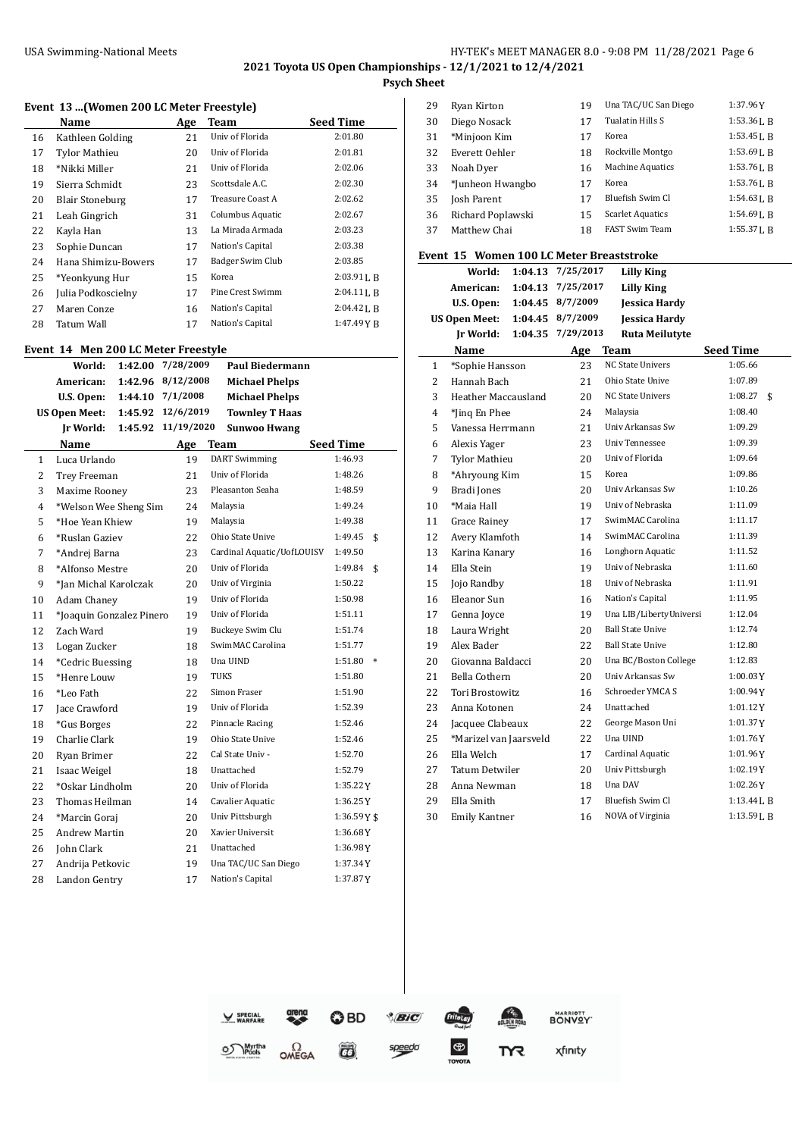#### USA Swimming-National Meets **HY-TEK's MEET MANAGER 8.0 - 9:08 PM 11/28/2021** Page 6 **2021 Toyota US Open Championships - 12/1/2021 to 12/4/2021**

**Psych Sheet**

 $\overline{a}$ 

#### **Event 13 ...(Women 200 LC Meter Freestyle)**

|    | Name                   | Age | Team             | <b>Seed Time</b> |
|----|------------------------|-----|------------------|------------------|
| 16 | Kathleen Golding       | 21  | Univ of Florida  | 2:01.80          |
| 17 | <b>Tylor Mathieu</b>   | 20  | Univ of Florida  | 2:01.81          |
| 18 | *Nikki Miller          | 21  | Univ of Florida  | 2:02.06          |
| 19 | Sierra Schmidt         | 23  | Scottsdale A.C.  | 2:02.30          |
| 20 | <b>Blair Stoneburg</b> | 17  | Treasure Coast A | 2:02.62          |
| 21 | Leah Gingrich          | 31  | Columbus Aquatic | 2:02.67          |
| 22 | Kayla Han              | 13  | La Mirada Armada | 2:03.23          |
| 23 | Sophie Duncan          | 17  | Nation's Capital | 2:03.38          |
| 24 | Hana Shimizu-Bowers    | 17  | Badger Swim Club | 2:03.85          |
| 25 | *Yeonkyung Hur         | 15  | Korea            | $2:03.91$ J, B   |
| 26 | Julia Podkoscielny     | 17  | Pine Crest Swimm | $2:04.11$ J, R   |
| 27 | Maren Conze            | 16  | Nation's Capital | $2:04.42$ J, B   |
| 28 | Tatum Wall             | 17  | Nation's Capital | 1:47.49 Y B      |

# **Event 14 Men 200 LC Meter Freestyle**

|                | World:                   | 1:42.00 | 7/28/2009  |             | <b>Paul Biedermann</b>     |                  |        |
|----------------|--------------------------|---------|------------|-------------|----------------------------|------------------|--------|
|                | American:                | 1:42.96 | 8/12/2008  |             | <b>Michael Phelps</b>      |                  |        |
|                | U.S. Open:               | 1:44.10 | 7/1/2008   |             | <b>Michael Phelps</b>      |                  |        |
|                | <b>US Open Meet:</b>     | 1:45.92 | 12/6/2019  |             | <b>Townley T Haas</b>      |                  |        |
|                | Ir World:                | 1:45.92 | 11/19/2020 |             | <b>Sunwoo Hwang</b>        |                  |        |
|                | <b>Name</b>              |         | Age        | <b>Team</b> |                            | <b>Seed Time</b> |        |
| $\mathbf{1}$   | Luca Urlando             |         | 19         |             | <b>DART</b> Swimming       | 1:46.93          |        |
| $\overline{2}$ | Trey Freeman             |         | 21         |             | Univ of Florida            | 1:48.26          |        |
| 3              | Maxime Rooney            |         | 23         |             | Pleasanton Seaha           | 1:48.59          |        |
| 4              | *Welson Wee Sheng Sim    |         | 24         |             | Malaysia                   | 1:49.24          |        |
| 5              | *Hoe Yean Khiew          |         | 19         |             | Malaysia                   | 1:49.38          |        |
| 6              | *Ruslan Gaziev           |         | 22         |             | Ohio State Unive           | 1:49.45          | \$     |
| 7              | *Andrej Barna            |         | 23         |             | Cardinal Aquatic/UofLOUISV | 1:49.50          |        |
| 8              | *Alfonso Mestre          |         | 20         |             | Univ of Florida            | 1:49.84          | \$     |
| 9              | *Jan Michal Karolczak    |         | 20         |             | Univ of Virginia           | 1:50.22          |        |
| 10             | Adam Chaney              |         | 19         |             | Univ of Florida            | 1:50.98          |        |
| 11             | *Joaquin Gonzalez Pinero |         | 19         |             | Univ of Florida            | 1:51.11          |        |
| 12             | Zach Ward                |         | 19         |             | Buckeye Swim Clu           | 1:51.74          |        |
| 13             | Logan Zucker             |         | 18         |             | SwimMAC Carolina           | 1:51.77          |        |
| 14             | *Cedric Buessing         |         | 18         |             | Una UIND                   | 1:51.80          | $\ast$ |
| 15             | *Henre Louw              |         | 19         | <b>TUKS</b> |                            | 1:51.80          |        |
| 16             | *Leo Fath                |         | 22         |             | Simon Fraser               | 1:51.90          |        |
| 17             | Jace Crawford            |         | 19         |             | Univ of Florida            | 1:52.39          |        |
| 18             | *Gus Borges              |         | 22         |             | Pinnacle Racing            | 1:52.46          |        |
| 19             | Charlie Clark            |         | 19         |             | Ohio State Unive           | 1:52.46          |        |
| 20             | Ryan Brimer              |         | 22         |             | Cal State Univ -           | 1:52.70          |        |
| 21             | Isaac Weigel             |         | 18         |             | Unattached                 | 1:52.79          |        |
| 22             | *Oskar Lindholm          |         | 20         |             | Univ of Florida            | 1:35.22Y         |        |
| 23             | Thomas Heilman           |         | 14         |             | Cavalier Aquatic           | 1:36.25Y         |        |
| 24             | *Marcin Goraj            |         | 20         |             | Univ Pittsburgh            | $1:36.59Y$ \$    |        |
| 25             | <b>Andrew Martin</b>     |         | 20         |             | Xavier Universit           | 1:36.68Y         |        |
| 26             | John Clark               |         | 21         |             | Unattached                 | 1:36.98Y         |        |
| 27             | Andrija Petkovic         |         | 19         |             | Una TAC/UC San Diego       | 1:37.34Y         |        |
| 28             | Landon Gentry            |         | 17         |             | Nation's Capital           | 1:37.87Y         |        |

| 29 | Ryan Kirton       | 19 | Una TAC/UC San Diego    | 1:37.96Y       |
|----|-------------------|----|-------------------------|----------------|
| 30 | Diego Nosack      | 17 | Tualatin Hills S        | 1:53.361. R    |
| 31 | *Minjoon Kim      | 17 | Korea                   | $1:53.45$ J. R |
| 32 | Everett Oehler    | 18 | Rockville Montgo        | $1:53.69$ J. B |
| 33 | Noah Dyer         | 16 | <b>Machine Aquatics</b> | 1:53.761. R    |
| 34 | *Junheon Hwangbo  | 17 | Korea                   | 1:53.761. R    |
| 35 | Josh Parent       | 17 | Bluefish Swim Cl        | $1:54.63$ J, B |
| 36 | Richard Poplawski | 15 | <b>Scarlet Aquatics</b> | $1:54.69$ J. R |
| 37 | Matthew Chai      | 18 | <b>FAST Swim Team</b>   | $1:55.37$ J. R |
|    |                   |    |                         |                |

#### **Event 15 Women 100 LC Meter Breaststroke**

|    | World:                 |         | 1:04.13 7/25/2017 | <b>Lilly King</b>       |                  |
|----|------------------------|---------|-------------------|-------------------------|------------------|
|    | American:              | 1:04.13 | 7/25/2017         | <b>Lilly King</b>       |                  |
|    | U.S. Open:             |         | 1:04.45 8/7/2009  | <b>Jessica Hardy</b>    |                  |
|    | <b>US Open Meet:</b>   |         | 1:04.45 8/7/2009  | <b>Jessica Hardy</b>    |                  |
|    | Ir World:              |         | 1:04.35 7/29/2013 | <b>Ruta Meilutyte</b>   |                  |
|    | Name                   |         | Age               | <b>Team</b>             | <b>Seed Time</b> |
| 1  | *Sophie Hansson        |         | 23                | <b>NC State Univers</b> | 1:05.66          |
| 2  | Hannah Bach            |         | 21                | Ohio State Unive        | 1:07.89          |
| 3  | Heather Maccausland    |         | 20                | <b>NC State Univers</b> | 1:08.27<br>\$    |
| 4  | *Jing En Phee          |         | 24                | Malaysia                | 1:08.40          |
| 5  | Vanessa Herrmann       |         | 21                | Univ Arkansas Sw        | 1:09.29          |
| 6  | Alexis Yager           |         | 23                | <b>Univ Tennessee</b>   | 1:09.39          |
| 7  | <b>Tylor Mathieu</b>   |         | 20                | Univ of Florida         | 1:09.64          |
| 8  | *Ahryoung Kim          |         | 15                | Korea                   | 1:09.86          |
| 9  | Bradi Jones            |         | 20                | Univ Arkansas Sw        | 1:10.26          |
| 10 | *Maia Hall             |         | 19                | Univ of Nebraska        | 1:11.09          |
| 11 | <b>Grace Rainev</b>    |         | 17                | SwimMAC Carolina        | 1:11.17          |
| 12 | Avery Klamfoth         |         | 14                | SwimMAC Carolina        | 1:11.39          |
| 13 | Karina Kanary          |         | 16                | Longhorn Aquatic        | 1:11.52          |
| 14 | Ella Stein             |         | 19                | Univ of Nebraska        | 1:11.60          |
| 15 | Jojo Randby            |         | 18                | Univ of Nebraska        | 1:11.91          |
| 16 | Eleanor Sun            |         | 16                | Nation's Capital        | 1:11.95          |
| 17 | Genna Jovce            |         | 19                | Una LIB/LibertyUniversi | 1:12.04          |
| 18 | Laura Wright           |         | 20                | <b>Ball State Unive</b> | 1:12.74          |
| 19 | Alex Bader             |         | 22                | <b>Ball State Unive</b> | 1:12.80          |
| 20 | Giovanna Baldacci      |         | 20                | Una BC/Boston College   | 1:12.83          |
| 21 | Bella Cothern          |         | 20                | Univ Arkansas Sw        | 1:00.03Y         |
| 22 | <b>Tori Brostowitz</b> |         | 16                | Schroeder YMCA S        | 1:00.94Y         |
| 23 | Anna Kotonen           |         | 24                | Unattached              | 1:01.12Y         |
| 24 | Jacquee Clabeaux       |         | 22                | George Mason Uni        | 1:01.37Y         |
| 25 | *Marizel van Jaarsveld |         | 22                | Una UIND                | 1:01.76Y         |
| 26 | Ella Welch             |         | 17                | Cardinal Aquatic        | 1:01.96Y         |
| 27 | Tatum Detwiler         |         | 20                | Univ Pittsburgh         | 1:02.19Y         |
| 28 | Anna Newman            |         | 18                | Una DAV                 | 1:02.26Y         |
| 29 | Ella Smith             |         | 17                | Bluefish Swim Cl        | $1:13.44$ J, B   |
| 30 | <b>Emily Kantner</b>   |         | 16                | NOVA of Virginia        | 1:13.59L B       |

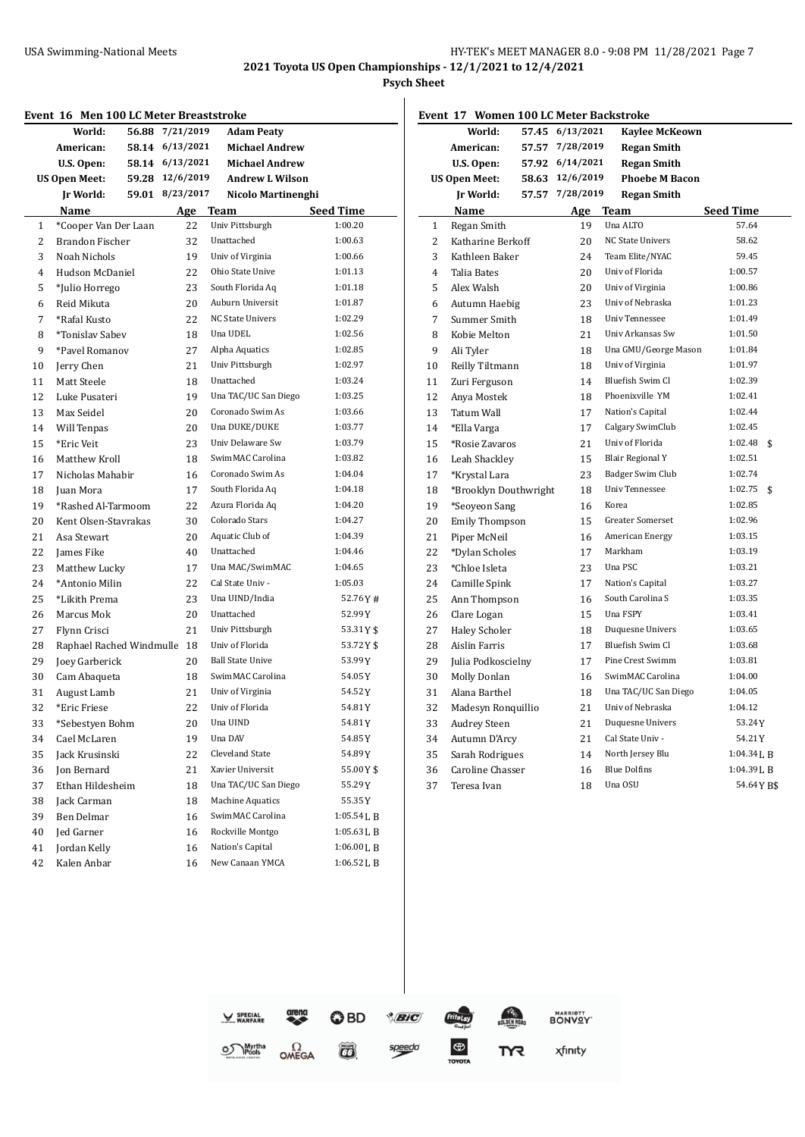$\overline{a}$ 

|                | Event 16 Men 100 LC Meter Breaststroke |       |                 |                         |             |
|----------------|----------------------------------------|-------|-----------------|-------------------------|-------------|
|                | World:                                 | 56.88 | 7/21/2019       | <b>Adam Peaty</b>       |             |
|                | American:                              |       | 58.14 6/13/2021 | <b>Michael Andrew</b>   |             |
|                | U.S. Open:                             |       | 58.14 6/13/2021 | <b>Michael Andrew</b>   |             |
|                | <b>US Open Meet:</b>                   |       | 59.28 12/6/2019 | <b>Andrew L Wilson</b>  |             |
|                | Jr World:                              | 59.01 | 8/23/2017       | Nicolo Martinenghi      |             |
|                | Name                                   |       | <u>Age</u>      | Team                    | Seed Time   |
| 1              | *Cooper Van Der Laan                   |       | 22              | Univ Pittsburgh         | 1:00.20     |
| $\overline{2}$ | Brandon Fischer                        |       | 32              | Unattached              | 1:00.63     |
| 3              | Noah Nichols                           |       | 19              | Univ of Virginia        | 1:00.66     |
| 4              | Hudson McDaniel                        |       | 22              | Ohio State Unive        | 1:01.13     |
| 5              | *Julio Horrego                         |       | 23              | South Florida Aq        | 1:01.18     |
| 6              | Reid Mikuta                            |       | 20              | Auburn Universit        | 1:01.87     |
| 7              | *Rafal Kusto                           |       | 22              | NC State Univers        | 1:02.29     |
| 8              | <i>*Tonislav Sabev</i>                 |       | 18              | Una UDEL                | 1:02.56     |
| 9              | *Pavel Romanov                         |       | 27              | Alpha Aquatics          | 1:02.85     |
| 10             | Jerry Chen                             |       | 21              | Univ Pittsburgh         | 1:02.97     |
| 11             | Matt Steele                            |       | 18              | Unattached              | 1:03.24     |
| 12             | Luke Pusateri                          |       | 19              | Una TAC/UC San Diego    | 1:03.25     |
| 13             | Max Seidel                             |       | 20              | Coronado Swim As        | 1:03.66     |
| 14             | Will Tenpas                            |       | 20              | Una DUKE/DUKE           | 1:03.77     |
| 15             | *Eric Veit                             |       | 23              | Univ Delaware Sw        | 1:03.79     |
| 16             | Matthew Kroll                          |       | 18              | SwimMAC Carolina        | 1:03.82     |
| 17             | Nicholas Mahabir                       |       | 16              | Coronado Swim As        | 1:04.04     |
| 18             | Juan Mora                              |       | 17              | South Florida Aq        | 1:04.18     |
| 19             | *Rashed Al-Tarmoom                     |       | 22              | Azura Florida Aq        | 1:04.20     |
| 20             | Kent Olsen-Stavrakas                   |       | 30              | Colorado Stars          | 1:04.27     |
| 21             | Asa Stewart                            |       | 20              | Aquatic Club of         | 1:04.39     |
| 22             | James Fike                             |       | 40              | Unattached              | 1:04.46     |
| 23             | Matthew Lucky                          |       | 17              | Una MAC/SwimMAC         | 1:04.65     |
| 24             | *Antonio Milin                         |       | 22              | Cal State Univ -        | 1:05.03     |
| 25             | *Likith Prema                          |       | 23              | Una UIND/India          | 52.76Y#     |
| 26             | Marcus Mok                             |       | 20              | Unattached              | 52.99Y      |
| 27             | Flynn Crisci                           |       | 21              | Univ Pittsburgh         | 53.31Y\$    |
| 28             | Raphael Rached Windmulle 18            |       |                 | Univ of Florida         | 53.72 Y \$  |
| 29             | Joey Garberick                         |       | 20              | <b>Ball State Unive</b> | 53.99 Y     |
| 30             | Cam Abaqueta                           |       | 18              | SwimMAC Carolina        | 54.05Y      |
| 31             | August Lamb                            |       | 21              | Univ of Virginia        | 54.52Y      |
| 32             | *Eric Friese                           |       | 22              | Univ of Florida         | 54.81 Y     |
| 33             | *Sebestyen Bohm                        |       | 20              | Una UIND                | 54.81Y      |
| 34             | Cael McLaren                           |       | 19              | Una DAV                 | 54.85 Y     |
| 35             | Jack Krusinski                         |       | 22              | Cleveland State         | 54.89 Y     |
| 36             | Jon Bernard                            |       | 21              | Xavier Universit        | 55.00Y\$    |
| 37             | Ethan Hildesheim                       |       | 18              | Una TAC/UC San Diego    | 55.29 Y     |
| 38             | Jack Carman                            |       | 18              | Machine Aquatics        | 55.35Y      |
| 39             | Ben Delmar                             |       | 16              | SwimMAC Carolina        | 1:05.54 L B |
| 40             | Jed Garner                             |       | 16              | Rockville Montgo        | 1:05.63 L B |
| 41             | Jordan Kelly                           |       | 16              | Nation's Capital        | 1:06.00LB   |
| 42             | Kalen Anbar                            |       | 16              | New Canaan YMCA         | 1:06.52 L B |

| Event 17 Women 100 LC Meter Backstroke |                       |       |           |                         |                  |  |
|----------------------------------------|-----------------------|-------|-----------|-------------------------|------------------|--|
|                                        | World:                | 57.45 | 6/13/2021 | <b>Kaylee McKeown</b>   |                  |  |
|                                        | American:             | 57.57 | 7/28/2019 | Regan Smith             |                  |  |
|                                        | U.S. Open:            | 57.92 | 6/14/2021 | <b>Regan Smith</b>      |                  |  |
|                                        | <b>US Open Meet:</b>  | 58.63 | 12/6/2019 | <b>Phoebe M Bacon</b>   |                  |  |
|                                        | <b>Jr World:</b>      | 57.57 | 7/28/2019 | <b>Regan Smith</b>      |                  |  |
|                                        | Name                  |       | Age       | Team                    | <b>Seed Time</b> |  |
| 1                                      | Regan Smith           |       | 19        | Una ALTO                | 57.64            |  |
| 2                                      | Katharine Berkoff     |       | 20        | <b>NC State Univers</b> | 58.62            |  |
| 3                                      | Kathleen Baker        |       | 24        | Team Elite/NYAC         | 59.45            |  |
| $\overline{4}$                         | <b>Talia Bates</b>    |       | 20        | Univ of Florida         | 1:00.57          |  |
| 5                                      | Alex Walsh            |       | 20        | Univ of Virginia        | 1:00.86          |  |
| 6                                      | Autumn Haebig         |       | 23        | Univ of Nebraska        | 1:01.23          |  |
| 7                                      | Summer Smith          |       | 18        | <b>Univ Tennessee</b>   | 1:01.49          |  |
| 8                                      | Kobie Melton          |       | 21        | Univ Arkansas Sw        | 1:01.50          |  |
| 9                                      | Ali Tyler             |       | 18        | Una GMU/George Mason    | 1:01.84          |  |
| 10                                     | Reilly Tiltmann       |       | 18        | Univ of Virginia        | 1:01.97          |  |
| 11                                     | Zuri Ferguson         |       | 14        | Bluefish Swim Cl        | 1:02.39          |  |
| 12                                     | Anya Mostek           |       | 18        | Phoenixville YM         | 1:02.41          |  |
| 13                                     | Tatum Wall            |       | 17        | Nation's Capital        | 1:02.44          |  |
| 14                                     | *Ella Varga           |       | 17        | Calgary SwimClub        | 1:02.45          |  |
| 15                                     | *Rosie Zavaros        |       | 21        | Univ of Florida         | 1:02.48<br>\$    |  |
| 16                                     | Leah Shackley         |       | 15        | <b>Blair Regional Y</b> | 1:02.51          |  |
| 17                                     | *Krystal Lara         |       | 23        | Badger Swim Club        | 1:02.74          |  |
| 18                                     | *Brooklyn Douthwright |       | 18        | <b>Univ Tennessee</b>   | 1:02.75<br>\$    |  |
| 19                                     | *Seoyeon Sang         |       | 16        | Korea                   | 1:02.85          |  |
| 20                                     | <b>Emily Thompson</b> |       | 15        | <b>Greater Somerset</b> | 1:02.96          |  |
| 21                                     | Piper McNeil          |       | 16        | American Energy         | 1:03.15          |  |
| 22                                     | *Dylan Scholes        |       | 17        | Markham                 | 1:03.19          |  |
| 23                                     | *Chloe Isleta         |       | 23        | Una PSC                 | 1:03.21          |  |
| 24                                     | Camille Spink         |       | 17        | Nation's Capital        | 1:03.27          |  |
| 25                                     | Ann Thompson          |       | 16        | South Carolina S        | 1:03.35          |  |
| 26                                     | Clare Logan           |       | 15        | Una FSPY                | 1:03.41          |  |
| 27                                     | Haley Scholer         |       | 18        | Duquesne Univers        | 1:03.65          |  |
| 28                                     | Aislin Farris         |       | 17        | Bluefish Swim Cl        | 1:03.68          |  |
| 29                                     | Julia Podkoscielny    |       | 17        | Pine Crest Swimm        | 1:03.81          |  |
| 30                                     | <b>Molly Donlan</b>   |       | 16        | SwimMAC Carolina        | 1:04.00          |  |
| 31                                     | Alana Barthel         |       | 18        | Una TAC/UC San Diego    | 1:04.05          |  |
| 32                                     | Madesyn Ronquillio    |       | 21        | Univ of Nebraska        | 1:04.12          |  |
| 33                                     | <b>Audrey Steen</b>   |       | 21        | Duquesne Univers        | 53.24Y           |  |
| 34                                     | Autumn D'Arcy         |       | 21        | Cal State Univ -        | 54.21Y           |  |
| 35                                     | Sarah Rodrigues       |       | 14        | North Jersey Blu        | 1:04.34 L B      |  |
| 36                                     | Caroline Chasser      |       | 16        | <b>Blue Dolfins</b>     | 1:04.39LB        |  |
| 37                                     | Teresa Ivan           |       | 18        | Una OSU                 | 54.64YB\$        |  |
|                                        |                       |       |           |                         |                  |  |

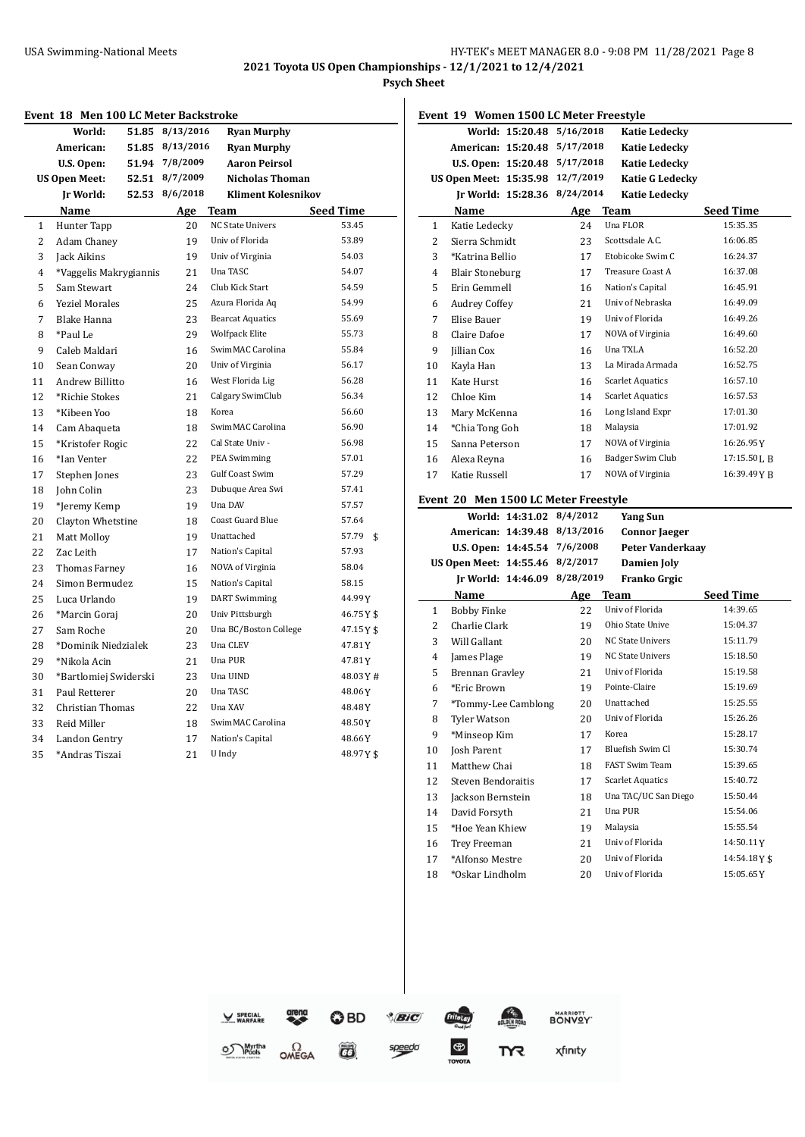**2021 Toyota US Open Championships - 12/1/2021 to 12/4/2021**

**Psych Sheet**

|                | <b>Event 18 Men 100 LC Meter Backstroke</b> |       |                 |                           |                  |
|----------------|---------------------------------------------|-------|-----------------|---------------------------|------------------|
|                | World:                                      |       | 51.85 8/13/2016 | <b>Ryan Murphy</b>        |                  |
|                | American:                                   |       | 51.85 8/13/2016 | <b>Ryan Murphy</b>        |                  |
|                | U.S. Open:                                  | 51.94 | 7/8/2009        | <b>Aaron Peirsol</b>      |                  |
|                | <b>US Open Meet:</b>                        | 52.51 | 8/7/2009        | <b>Nicholas Thoman</b>    |                  |
|                | <b>Jr World:</b>                            | 52.53 | 8/6/2018        | <b>Kliment Kolesnikov</b> |                  |
|                | Name                                        |       | Age             | Team                      | <b>Seed Time</b> |
| $\mathbf{1}$   | Hunter Tapp                                 |       | 20              | <b>NC State Univers</b>   | 53.45            |
| $\overline{2}$ | Adam Chaney                                 |       | 19              | Univ of Florida           | 53.89            |
| 3              | Jack Aikins                                 |       | 19              | Univ of Virginia          | 54.03            |
| 4              | *Vaggelis Makrygiannis                      |       | 21              | Una TASC                  | 54.07            |
| 5              | Sam Stewart                                 |       | 2.4             | Club Kick Start           | 54.59            |
| 6              | <b>Yeziel Morales</b>                       |       | 25              | Azura Florida Aq          | 54.99            |
| 7              | Blake Hanna                                 |       | 23              | <b>Bearcat Aquatics</b>   | 55.69            |
| 8              | *Paul Le                                    |       | 29              | <b>Wolfpack Elite</b>     | 55.73            |
| 9              | Caleb Maldari                               |       | 16              | SwimMAC Carolina          | 55.84            |
| 10             | Sean Conway                                 |       | 20              | Univ of Virginia          | 56.17            |
| 11             | Andrew Billitto                             |       | 16              | West Florida Lig          | 56.28            |
| 12             | *Richie Stokes                              |       | 21              | Calgary SwimClub          | 56.34            |
| 13             | *Kibeen Yoo                                 |       | 18              | Korea                     | 56.60            |
| 14             | Cam Abaqueta                                |       | 18              | SwimMAC Carolina          | 56.90            |
| 15             | *Kristofer Rogic                            |       | 22              | Cal State Univ -          | 56.98            |
| 16             | *Ian Venter                                 |       | 22              | PEA Swimming              | 57.01            |
| 17             | Stephen Jones                               |       | 23              | <b>Gulf Coast Swim</b>    | 57.29            |
| 18             | John Colin                                  |       | 23              | Dubuque Area Swi          | 57.41            |
| 19             | *Jeremy Kemp                                |       | 19              | Una DAV                   | 57.57            |
| 20             | Clayton Whetstine                           |       | 18              | Coast Guard Blue          | 57.64            |
| 21             | Matt Molloy                                 |       | 19              | Unattached                | 57.79<br>\$      |
| 22             | Zac Leith                                   |       | 17              | Nation's Capital          | 57.93            |
| 23             | Thomas Farney                               |       | 16              | NOVA of Virginia          | 58.04            |
| 24             | Simon Bermudez                              |       | 15              | Nation's Capital          | 58.15            |
| 25             | Luca Urlando                                |       | 19              | <b>DART</b> Swimming      | 44.99Y           |
| 26             | *Marcin Goraj                               |       | 20              | Univ Pittsburgh           | 46.75Y\$         |
| 27             | Sam Roche                                   |       | 20              | Una BC/Boston College     | 47.15Y\$         |
| 28             | *Dominik Niedzialek                         |       | 23              | Una CLEV                  | 47.81Y           |
| 29             | *Nikola Acin                                |       | 21              | Una PUR                   | 47.81Y           |
| 30             | *Bartlomiej Swiderski                       |       | 23              | Una UIND                  | 48.03Y#          |
| 31             | Paul Retterer                               |       | 20              | Una TASC                  | 48.06Y           |
| 32             | Christian Thomas                            |       | 22              | Una XAV                   | 48.48Y           |
| 33             | Reid Miller                                 |       | 18              | SwimMAC Carolina          | 48.50Y           |
| 34             | Landon Gentry                               |       | 17              | Nation's Capital          | 48.66Y           |
| 35             | *Andras Tiszai                              |       | 21              | U Indy                    | 48.97Y\$         |

|        | Event 19 Women 1500 LC Meter Freestyle  |                          |                |                                                 |                  |  |
|--------|-----------------------------------------|--------------------------|----------------|-------------------------------------------------|------------------|--|
|        |                                         | World: 15:20.48          | 5/16/2018      | <b>Katie Ledecky</b>                            |                  |  |
|        | American: 15:20.48                      |                          | 5/17/2018      | <b>Katie Ledecky</b>                            |                  |  |
|        | U.S. Open: 15:20.48                     |                          | 5/17/2018      | <b>Katie Ledecky</b>                            |                  |  |
|        | US Open Meet: 15:35.98                  |                          | 12/7/2019      | Katie G Ledecky                                 |                  |  |
|        |                                         | Ir World: 15:28.36       | 8/24/2014      | <b>Katie Ledecky</b>                            |                  |  |
|        | <b>Name</b>                             |                          | Age Team       |                                                 | <b>Seed Time</b> |  |
| 1      | Katie Ledecky                           |                          | 24             | Una FLOR                                        | 15:35.35         |  |
| 2      | Sierra Schmidt                          |                          | 23             | Scottsdale A.C.                                 | 16:06.85         |  |
| 3      | *Katrina Bellio                         |                          | 17             | Etobicoke Swim C                                | 16:24.37         |  |
| 4      | <b>Blair Stoneburg</b>                  |                          | 17             | Treasure Coast A                                | 16:37.08         |  |
| 5      | Erin Gemmell                            |                          | 16             | Nation's Capital                                | 16:45.91         |  |
| 6      | <b>Audrey Coffey</b>                    |                          | 21             | Univ of Nebraska                                | 16:49.09         |  |
| 7      | Elise Bauer                             |                          | 19             | Univ of Florida                                 | 16:49.26         |  |
| 8      | Claire Dafoe                            |                          | 17             | NOVA of Virginia                                | 16:49.60         |  |
| 9      | Jillian Cox                             |                          | 16             | Una TXLA                                        | 16:52.20         |  |
| 10     | Kayla Han                               |                          | 13             | La Mirada Armada                                | 16:52.75         |  |
| 11     | Kate Hurst                              |                          | 16             | <b>Scarlet Aquatics</b>                         | 16:57.10         |  |
| 12     | Chloe Kim                               |                          | 14             | <b>Scarlet Aquatics</b>                         | 16:57.53         |  |
| 13     | Mary McKenna                            |                          | 16             | Long Island Expr                                | 17:01.30         |  |
| 14     | *Chia Tong Goh                          |                          | 18             | Malaysia                                        | 17:01.92         |  |
| 15     | Sanna Peterson                          |                          | 17             | NOVA of Virginia                                | 16:26.95Y        |  |
| 16     | Alexa Reyna                             |                          | 16             | Badger Swim Club                                | 17:15.50LB       |  |
| 17     | Katie Russell                           |                          | 17             | NOVA of Virginia                                | 16:39.49YB       |  |
|        |                                         |                          |                |                                                 |                  |  |
|        | Event 20 Men 1500 LC Meter Freestyle    | World: 14:31.02 8/4/2012 |                | <b>Yang Sun</b>                                 |                  |  |
|        | American: 14:39.48                      |                          | 8/13/2016      |                                                 |                  |  |
|        | U.S. Open: 14:45.54                     |                          | 7/6/2008       | <b>Connor Jaeger</b><br><b>Peter Vanderkaay</b> |                  |  |
|        | <b>US Open Meet: 14:55.46</b>           |                          | 8/2/2017       | Damien Joly                                     |                  |  |
|        |                                         | Ir World: 14:46.09       | 8/28/2019      | Franko Grgic                                    |                  |  |
|        | Name                                    |                          |                |                                                 | Seed Time        |  |
| 1      | <b>Bobby Finke</b>                      |                          | Age Team<br>22 | Univ of Florida                                 | 14:39.65         |  |
| 2      | Charlie Clark                           |                          | 19             | Ohio State Unive                                | 15:04.37         |  |
| 3      | Will Gallant                            |                          | 20             | <b>NC State Univers</b>                         | 15:11.79         |  |
| 4      | James Plage                             |                          | 19             | <b>NC State Univers</b>                         | 15:18.50         |  |
| 5      | Brennan Gravley                         |                          | 21             | Univ of Florida                                 | 15:19.58         |  |
| 6      | *Eric Brown                             |                          | 19             | Pointe-Claire                                   | 15:19.69         |  |
| 7      | *Tommy-Lee Camblong                     |                          | 20             | Unattached                                      | 15:25.55         |  |
|        | <b>Tyler Watson</b>                     |                          |                | Univ of Florida                                 | 15:26.26         |  |
| 8<br>9 | *Minseop Kim                            |                          | 20             | Korea                                           | 15:28.17         |  |
|        | <b>Josh Parent</b>                      |                          | 17             | Bluefish Swim Cl                                | 15:30.74         |  |
| 10     | Matthew Chai                            |                          | 17             | FAST Swim Team                                  | 15:39.65         |  |
| 11     |                                         |                          | 18             | <b>Scarlet Aquatics</b>                         | 15:40.72         |  |
| 12     | Steven Bendoraitis<br>Jackson Bernstein |                          | 17             | Una TAC/UC San Diego                            | 15:50.44         |  |
| 13     | David Forsyth                           |                          | 18             | Una PUR                                         | 15:54.06         |  |
| 14     |                                         |                          | 21             |                                                 |                  |  |

 \*Hoe Yean Khiew 19 Malaysia 15:55.54 Trey Freeman 21 Univ of Florida 14:50.11Y 17 \*Alfonso Mestre 20 Univ of Florida 14:54.18Y \$<br>18 \*Oskar Lindholm 20 Univ of Florida 15:05.65Y

xfinity

SPECIAL<br>WARFARE  $\bigcirc$  BD  $\frac{\partial}{\partial E}$ **MARRIOTT** speedo  $\Omega$ OMEGA

**OS** Myrtha

18  $*$ Oskar Lindholm

 $\bigoplus$  TOYOTA

m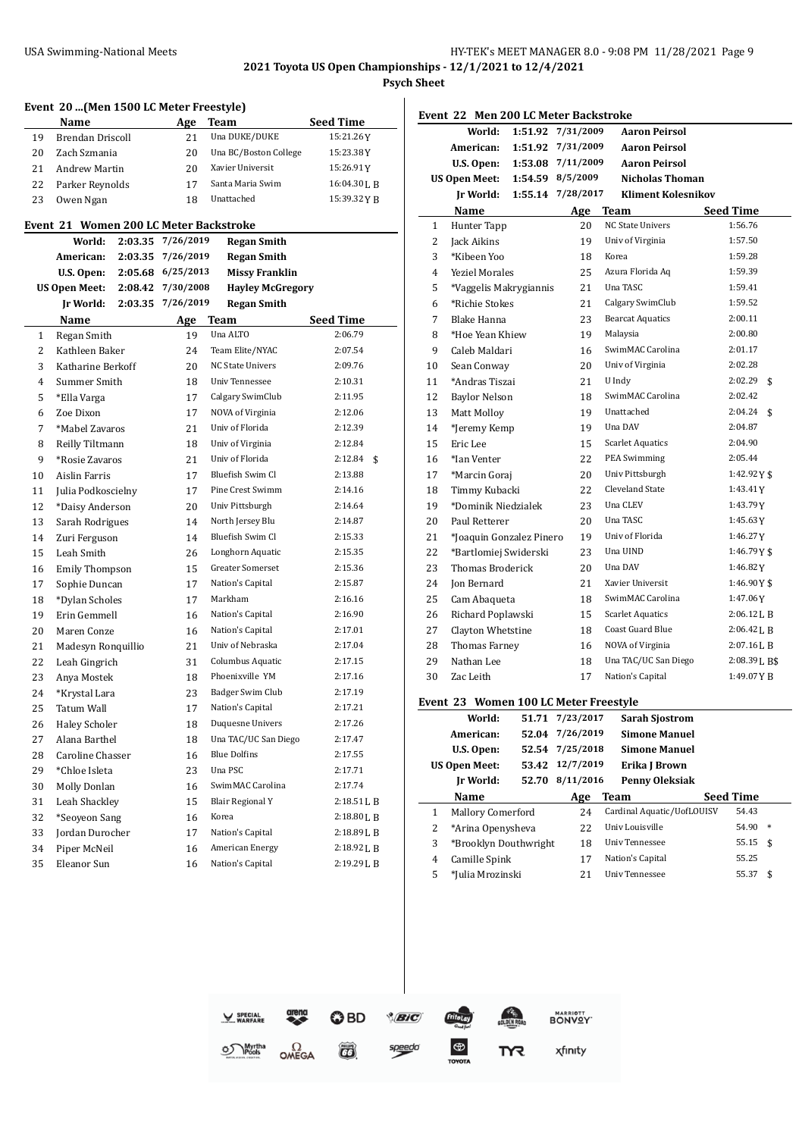**2021 Toyota US Open Championships - 12/1/2021 to 12/4/2021**

**Psych Sheet**

|    | Event 20  (Men 1500 LC Meter Freestyle) |         |             |                         |                        |
|----|-----------------------------------------|---------|-------------|-------------------------|------------------------|
|    | Name                                    |         | Age         | Team                    | <b>Seed Time</b>       |
| 19 | Brendan Driscoll                        |         | 21          | Una DUKE/DUKE           | 15:21.26Y              |
| 20 | Zach Szmania                            |         | 20          | Una BC/Boston College   | 15:23.38Y              |
| 21 | Andrew Martin                           |         | 20          | Xavier Universit        | 15:26.91Y              |
| 22 | Parker Reynolds                         |         | 17          | Santa Maria Swim        | 16:04.30 <sub>LB</sub> |
| 23 | Owen Ngan                               |         | 18          | Unattached              | 15:39.32YB             |
|    | Event 21 Women 200 LC Meter Backstroke  |         |             |                         |                        |
|    | World:                                  | 2:03.35 | 7/26/2019   | <b>Regan Smith</b>      |                        |
|    | American:                               | 2:03.35 | 7/26/2019   | <b>Regan Smith</b>      |                        |
|    | U.S. Open:                              | 2:05.68 | 6/25/2013   | <b>Missy Franklin</b>   |                        |
|    | <b>US Open Meet:</b>                    | 2:08.42 | 7/30/2008   | <b>Hayley McGregory</b> |                        |
|    | Jr World:                               | 2:03.35 | 7/26/2019   | <b>Regan Smith</b>      |                        |
|    | Name                                    |         | <u>Age </u> | Team                    | <b>Seed Time</b>       |
| 1  | Regan Smith                             |         | 19          | Una ALTO                | 2:06.79                |
| 2  | Kathleen Baker                          |         | 24          | Team Elite/NYAC         | 2:07.54                |
| 3  | Katharine Berkoff                       |         | 20          | <b>NC State Univers</b> | 2:09.76                |
| 4  | Summer Smith                            |         | 18          | Univ Tennessee          | 2:10.31                |
| 5  | *Ella Varga                             |         | 17          | Calgary SwimClub        | 2:11.95                |
| 6  | Zoe Dixon                               |         | 17          | NOVA of Virginia        | 2:12.06                |
| 7  | *Mabel Zavaros                          |         | 21          | Univ of Florida         | 2:12.39                |
| 8  | Reilly Tiltmann                         |         | 18          | Univ of Virginia        | 2:12.84                |
| 9  | *Rosie Zavaros                          |         | 21          | Univ of Florida         | 2:12.84<br>\$          |
| 10 | Aislin Farris                           |         | 17          | Bluefish Swim Cl        | 2:13.88                |
| 11 | Julia Podkoscielny                      |         | 17          | Pine Crest Swimm        | 2:14.16                |
| 12 | *Daisy Anderson                         |         | 20          | Univ Pittsburgh         | 2:14.64                |
| 13 | Sarah Rodrigues                         |         | 14          | North Jersey Blu        | 2:14.87                |
| 14 | Zuri Ferguson                           |         | 14          | Bluefish Swim Cl        | 2:15.33                |
| 15 | Leah Smith                              |         | 26          | Longhorn Aquatic        | 2:15.35                |
| 16 | <b>Emily Thompson</b>                   |         | 15          | Greater Somerset        | 2:15.36                |
| 17 | Sophie Duncan                           |         | 17          | Nation's Capital        | 2:15.87                |
| 18 | *Dylan Scholes                          |         | 17          | Markham                 | 2:16.16                |
| 19 | Erin Gemmell                            |         | 16          | Nation's Capital        | 2:16.90                |
| 20 | Maren Conze                             |         | 16          | Nation's Capital        | 2:17.01                |
| 21 | Madesyn Ronquillio                      |         | 21          | Univ of Nebraska        | 2:17.04                |
| 22 | Leah Gingrich                           |         | 31          | Columbus Aquatic        | 2:17.15                |
| 23 | Anya Mostek                             |         | 18          | Phoenixville YM         | 2:17.16                |
| 24 | *Krystal Lara                           |         | 23          | Badger Swim Club        | 2:17.19                |
| 25 | Tatum Wall                              |         | 17          | Nation's Capital        | 2:17.21                |
| 26 | <b>Haley Scholer</b>                    |         | 18          | Duquesne Univers        | 2:17.26                |
| 27 | Alana Barthel                           |         | 18          | Una TAC/UC San Diego    | 2:17.47                |
| 28 | Caroline Chasser                        |         | 16          | <b>Blue Dolfins</b>     | 2:17.55                |
| 29 | *Chloe Isleta                           |         | 23          | Una PSC                 | 2:17.71                |
| 30 | Molly Donlan                            |         | 16          | SwimMAC Carolina        | 2:17.74                |
| 31 | Leah Shackley                           |         | 15          | <b>Blair Regional Y</b> | 2:18.51 L B            |
| 32 | *Seoyeon Sang                           |         | 16          | Korea                   | 2:18.80 L B            |
| 33 | Jordan Durocher                         |         | 17          | Nation's Capital        | 2:18.89 L B            |
| 34 | Piper McNeil                            |         | 16          | American Energy         | 2:18.92 L B            |
| 35 | Eleanor Sun                             |         | 16          | Nation's Capital        | 2:19.29 L B            |
|    |                                         |         |             |                         |                        |

**Event 22 Men 200 LC Meter Backstroke World: 1:51.92 7/31/2009 Aaron Peirsol American: 1:51.92 7/31/2009 Aaron Peirsol U.S. Open: 1:53.08 7/11/2009 Aaron Peirsol US Open Meet: 1:54.59 8/5/2009 Nicholas Thoman Jr World: 1:55.14 7/28/2017 Kliment Kolesnikov Name Age Team Seed Time** 1 Hunter Tapp 20 NC State Univers 1:56.76 Jack Aikins 19 Univ of Virginia 1:57.50 \*Kibeen Yoo 18 Korea 1:59.28 Yeziel Morales 25 Azura Florida Aq 1:59.39 \*Vaggelis Makrygiannis 21 Una TASC 1:59.41 \*Richie Stokes 21 Calgary SwimClub 1:59.52 Blake Hanna 23 Bearcat Aquatics 2:00.11 \*Hoe Yean Khiew 19 Malaysia 2:00.80 9 Caleb Maldari 16 SwimMAC Carolina 2:01.17 Sean Conway 20 Univ of Virginia 2:02.28 \*Andras Tiszai 21 U Indy 2:02.29 \$ Baylor Nelson 18 SwimMAC Carolina 2:02.42 Matt Molloy 19 Unattached 2:04.24 \$ 14 \*Jeremy Kemp 19 Una DAV 2:04.87 Eric Lee 15 Scarlet Aquatics 2:04.90 \*Ian Venter 22 PEA Swimming 2:05.44 17 \*Marcin Goraj 20 Univ Pittsburgh 1:42.92Y \$ Timmy Kubacki 22 Cleveland State 1:43.41Y \*Dominik Niedzialek 23 Una CLEV 1:43.79Y 20 Paul Retterer 20 Una TASC 1:45.63Y \*Joaquin Gonzalez Pinero 19 Univ of Florida 1:46.27Y \*Bartlomiej Swiderski 23 Una UIND 1:46.79Y \$ Thomas Broderick 20 Una DAV 1:46.82Y 24 Jon Bernard 21 Xavier Universit 1:46.90Y \$ 25 Cam Abaqueta 18 SwimMAC Carolina 1:47.06Y 26 Richard Poplawski 15 Scarlet Aquatics 2:06.12 L B 27 Clayton Whetstine 18 Coast Guard Blue 2:06.42L B Thomas Farney 16 NOVA of Virginia 2:07.16L B 29 Nathan Lee 18 Una TAC/UC San Diego 2:08.39 L B\$ Zac Leith 17 Nation's Capital 1:49.07Y B **Event 23 Women 100 LC Meter Freestyle World: 51.71 7/23/2017 Sarah Sjostrom American: 52.04 7/26/2019 Simone Manuel U.S. Open: 52.54 7/25/2018 Simone Manuel US Open Meet: 53.42 12/7/2019 Erika J Brown**

|   | Ir World:                | 52.70 8/11/2016 | Penny Oleksiak             |                  |
|---|--------------------------|-----------------|----------------------------|------------------|
|   | Name                     | Age             | Team                       | <b>Seed Time</b> |
|   | <b>Mallory Comerford</b> | 24              | Cardinal Aquatic/UofLOUISV | 54.43            |
|   | *Arina Openysheva        | 22              | Univ Louisville            | 54.90<br>$\ast$  |
|   | *Brooklyn Douthwright    | 18              | Univ Tennessee             | $55.15$ \$       |
| 4 | Camille Spink            |                 | Nation's Capital           | 55.25            |
|   | *Julia Mrozinski         |                 | Univ Tennessee             | 55.37<br>£.      |

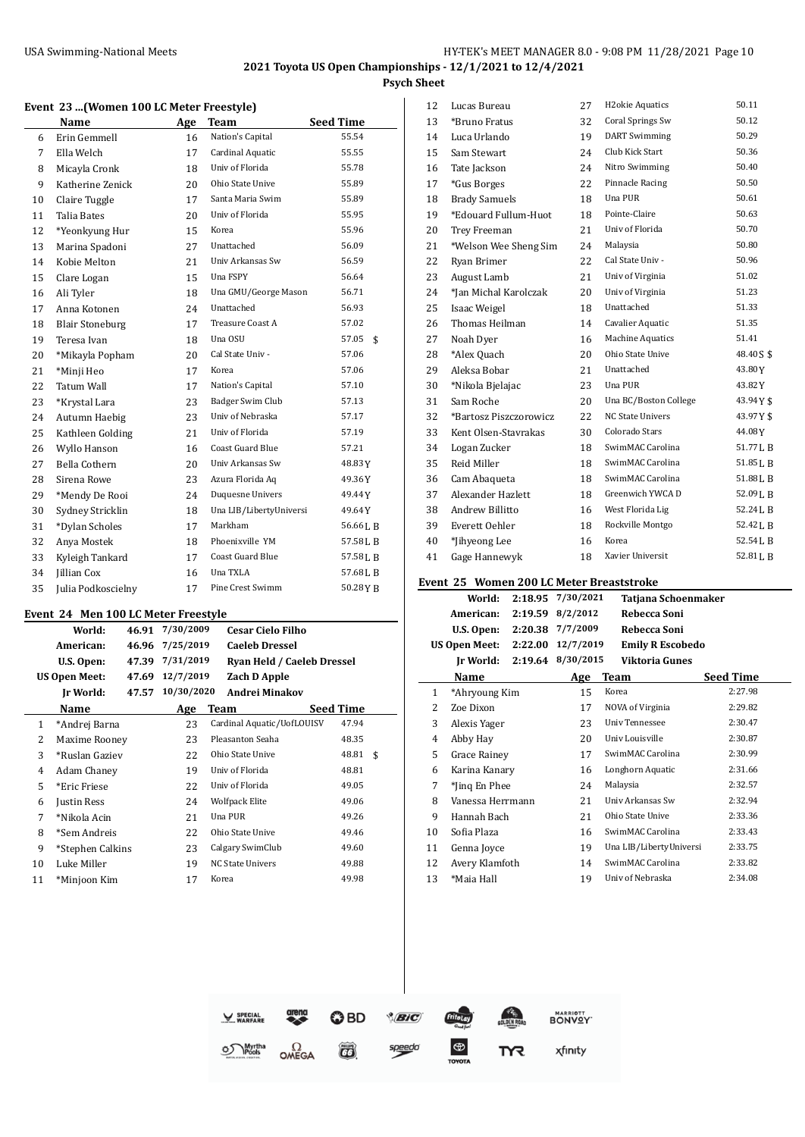$\overline{a}$ 

**Psych Sheet**

#### **Event 23 ...(Women 100 LC Meter Freestyle)**

|    | Name                   | Age | <b>Team</b>             | <b>Seed Time</b> |
|----|------------------------|-----|-------------------------|------------------|
| 6  | Erin Gemmell           | 16  | Nation's Capital        | 55.54            |
| 7  | Ella Welch             | 17  | Cardinal Aquatic        | 55.55            |
| 8  | Micayla Cronk          | 18  | Univ of Florida         | 55.78            |
| 9  | Katherine Zenick       | 20  | Ohio State Unive        | 55.89            |
| 10 | Claire Tuggle          | 17  | Santa Maria Swim        | 55.89            |
| 11 | Talia Bates            | 20  | Univ of Florida         | 55.95            |
| 12 | *Yeonkyung Hur         | 15  | Korea                   | 55.96            |
| 13 | Marina Spadoni         | 27  | Unattached              | 56.09            |
| 14 | Kobie Melton           | 21  | Univ Arkansas Sw        | 56.59            |
| 15 | Clare Logan            | 15  | Una FSPY                | 56.64            |
| 16 | Ali Tyler              | 18  | Una GMU/George Mason    | 56.71            |
| 17 | Anna Kotonen           | 24  | Unattached              | 56.93            |
| 18 | <b>Blair Stoneburg</b> | 17  | Treasure Coast A        | 57.02            |
| 19 | Teresa Ivan            | 18  | Una OSU                 | 57.05<br>\$      |
| 20 | *Mikayla Popham        | 20  | Cal State Univ -        | 57.06            |
| 21 | *Minji Heo             | 17  | Korea                   | 57.06            |
| 22 | <b>Tatum Wall</b>      | 17  | Nation's Capital        | 57.10            |
| 23 | *Krystal Lara          | 23  | Badger Swim Club        | 57.13            |
| 24 | Autumn Haebig          | 23  | Univ of Nebraska        | 57.17            |
| 25 | Kathleen Golding       | 21  | Univ of Florida         | 57.19            |
| 26 | Wyllo Hanson           | 16  | Coast Guard Blue        | 57.21            |
| 27 | Bella Cothern          | 20  | Univ Arkansas Sw        | 48.83 Y          |
| 28 | Sirena Rowe            | 23  | Azura Florida Aq        | 49.36Y           |
| 29 | *Mendy De Rooi         | 24  | Duquesne Univers        | 49.44Y           |
| 30 | Sydney Stricklin       | 18  | Una LIB/LibertyUniversi | 49.64Y           |
| 31 | *Dylan Scholes         | 17  | Markham                 | 56.66 J, B       |
| 32 | Anya Mostek            | 18  | Phoenixville YM         | 57.58LB          |
| 33 | Kyleigh Tankard        | 17  | Coast Guard Blue        | 57.58 L B        |
| 34 | <b>Jillian Cox</b>     | 16  | Una TXLA                | 57.68LB          |
| 35 | Julia Podkoscielny     | 17  | Pine Crest Swimm        | 50.28YB          |

#### **Event 24 Men 100 LC Meter Freestyle**

|              | event 24  Men 100 LC Meter Freestyle |       |            |                            |           |    |  |
|--------------|--------------------------------------|-------|------------|----------------------------|-----------|----|--|
|              | World:                               | 46.91 | 7/30/2009  | <b>Cesar Cielo Filho</b>   |           |    |  |
|              | American:                            | 46.96 | 7/25/2019  | <b>Caeleb Dressel</b>      |           |    |  |
|              | U.S. Open:                           | 47.39 | 7/31/2019  | Ryan Held / Caeleb Dressel |           |    |  |
|              | <b>US Open Meet:</b>                 | 47.69 | 12/7/2019  | <b>Zach D Apple</b>        |           |    |  |
|              | Ir World:                            | 47.57 | 10/30/2020 | <b>Andrei Minakov</b>      |           |    |  |
|              | Name                                 |       | Age        | Team                       | Seed Time |    |  |
| $\mathbf{1}$ | *Andrej Barna                        |       | 23         | Cardinal Aquatic/UofLOUISV | 47.94     |    |  |
| 2            | Maxime Rooney                        |       | 23         | Pleasanton Seaha           | 48.35     |    |  |
| 3            | *Ruslan Gaziev                       |       | 22         | Ohio State Unive           | 48.81     | \$ |  |
| 4            | Adam Chaney                          |       | 19         | Univ of Florida            | 48.81     |    |  |
| 5            | *Eric Friese                         |       | 22         | Univ of Florida            | 49.05     |    |  |
| 6            | Justin Ress                          |       | 24         | <b>Wolfpack Elite</b>      | 49.06     |    |  |
| 7            | *Nikola Acin                         |       | 21         | Una PUR                    | 49.26     |    |  |
| 8            | *Sem Andreis                         |       | 22         | Ohio State Unive           | 49.46     |    |  |
| 9            | *Stephen Calkins                     |       | 23         | Calgary SwimClub           | 49.60     |    |  |
| 10           | Luke Miller                          |       | 19         | <b>NC State Univers</b>    | 49.88     |    |  |
| 11           | *Minjoon Kim                         |       | 17         | Korea                      | 49.98     |    |  |

| 12 | Lucas Bureau           | 27 | H <sub>2</sub> okie Aquatics | 50.11                |
|----|------------------------|----|------------------------------|----------------------|
| 13 | *Bruno Fratus          | 32 | Coral Springs Sw             | 50.12                |
| 14 | Luca Urlando           | 19 | <b>DART</b> Swimming         | 50.29                |
| 15 | Sam Stewart            | 24 | Club Kick Start              | 50.36                |
| 16 | Tate Jackson           | 24 | Nitro Swimming               | 50.40                |
| 17 | *Gus Borges            | 22 | Pinnacle Racing              | 50.50                |
| 18 | <b>Brady Samuels</b>   | 18 | Una PUR                      | 50.61                |
| 19 | *Edouard Fullum-Huot   | 18 | Pointe-Claire                | 50.63                |
| 20 | Trey Freeman           | 21 | Univ of Florida              | 50.70                |
| 21 | *Welson Wee Sheng Sim  | 24 | Malaysia                     | 50.80                |
| 22 | Ryan Brimer            | 22 | Cal State Univ -             | 50.96                |
| 23 | August Lamb            | 21 | Univ of Virginia             | 51.02                |
| 24 | *Jan Michal Karolczak  | 20 | Univ of Virginia             | 51.23                |
| 25 | Isaac Weigel           | 18 | Unattached                   | 51.33                |
| 26 | Thomas Heilman         | 14 | Cavalier Aquatic             | 51.35                |
| 27 | Noah Dyer              | 16 | Machine Aquatics             | 51.41                |
| 28 | *Alex Quach            | 20 | Ohio State Unive             | 48.405\$             |
| 29 | Aleksa Bobar           | 21 | Unattached                   | 43.80Y               |
| 30 | *Nikola Bjelajac       | 23 | Una PUR                      | 43.82Y               |
| 31 | Sam Roche              | 20 | Una BC/Boston College        | 43.94Y\$             |
| 32 | *Bartosz Piszczorowicz | 22 | <b>NC State Univers</b>      | 43.97Y\$             |
| 33 | Kent Olsen-Stavrakas   | 30 | Colorado Stars               | 44.08Y               |
| 34 | Logan Zucker           | 18 | SwimMAC Carolina             | 51.77LB              |
| 35 | Reid Miller            | 18 | SwimMAC Carolina             | 51.85 <sub>L</sub> B |
| 36 | Cam Abaqueta           | 18 | SwimMAC Carolina             | 51.88LB              |
| 37 | Alexander Hazlett      | 18 | Greenwich YWCA D             | 52.09LB              |
| 38 | Andrew Billitto        | 16 | West Florida Lig             | 52.24LB              |
| 39 | Everett Oehler         | 18 | Rockville Montgo             | 52.42LB              |
| 40 | *Jihyeong Lee          | 16 | Korea                        | 52.54LB              |
| 41 | Gage Hannewyk          | 18 | Xavier Universit             | 52.81LB              |
|    |                        |    |                              |                      |

#### **Event 25 Women 200 LC Meter Breaststroke**

|                | wanch soo su ricter breastsu one |         |           |                         |                  |  |
|----------------|----------------------------------|---------|-----------|-------------------------|------------------|--|
|                | World:                           | 2:18.95 | 7/30/2021 | Tatjana Schoenmaker     |                  |  |
|                | American:                        | 2:19.59 | 8/2/2012  | Rebecca Soni            |                  |  |
|                | U.S. Open:                       | 2:20.38 | 7/7/2009  | Rebecca Soni            |                  |  |
|                | <b>US Open Meet:</b>             | 2:22.00 | 12/7/2019 | <b>Emily R Escobedo</b> |                  |  |
|                | Ir World:                        | 2:19.64 | 8/30/2015 | <b>Viktoria Gunes</b>   |                  |  |
|                | Name                             |         | Age       | Team                    | <b>Seed Time</b> |  |
| 1              | *Ahryoung Kim                    |         | 15        | Korea                   | 2:27.98          |  |
| 2              | Zoe Dixon                        |         | 17        | NOVA of Virginia        | 2:29.82          |  |
| 3              | Alexis Yager                     |         | 23        | <b>Univ Tennessee</b>   | 2:30.47          |  |
| $\overline{4}$ | Abby Hay                         |         | 20        | Univ Louisville         | 2:30.87          |  |
| 5              | Grace Rainey                     |         | 17        | SwimMAC Carolina        | 2:30.99          |  |
| 6              | Karina Kanary                    |         | 16        | Longhorn Aquatic        | 2:31.66          |  |
| 7              | *Jing En Phee                    |         | 24        | Malaysia                | 2:32.57          |  |
| 8              | Vanessa Herrmann                 |         | 21        | Univ Arkansas Sw        | 2:32.94          |  |
| 9              | Hannah Bach                      |         | 21        | Ohio State Unive        | 2:33.36          |  |
| 10             | Sofia Plaza                      |         | 16        | SwimMAC Carolina        | 2:33.43          |  |
| 11             | Genna Joyce                      |         | 19        | Una LIB/LibertyUniversi | 2:33.75          |  |
| 12             | Avery Klamfoth                   |         | 14        | SwimMAC Carolina        | 2:33.82          |  |
| 13             | *Maia Hall                       |         | 19        | Univ of Nebraska        | 2:34.08          |  |

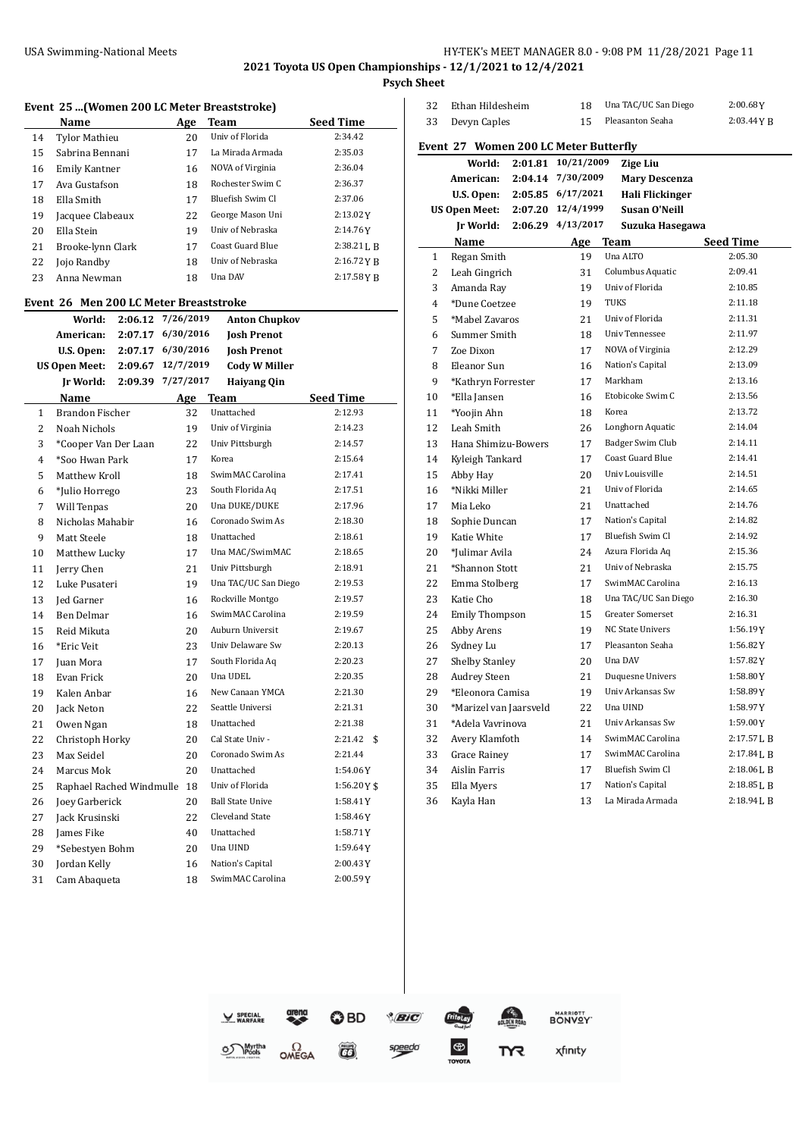# USA Swimming-National Meets **HY-TEK's MEET MANAGER 8.0 - 9:08 PM 11/28/2021** Page 11

**2021 Toyota US Open Championships - 12/1/2021 to 12/4/2021**

**Psych Sheet**

 $\frac{1}{2}$ 

|                                                                                                  |                          |         |           | Event 25 (Women 200 LC Meter Breaststroke) |                  |  |  |  |
|--------------------------------------------------------------------------------------------------|--------------------------|---------|-----------|--------------------------------------------|------------------|--|--|--|
|                                                                                                  | Name                     |         | Age       | <b>Team</b>                                | <b>Seed Time</b> |  |  |  |
| 14                                                                                               | <b>Tylor Mathieu</b>     |         | 20        | Univ of Florida                            | 2:34.42          |  |  |  |
| 15                                                                                               | Sabrina Bennani          |         | 17        | La Mirada Armada                           | 2:35.03          |  |  |  |
| 16                                                                                               | Emily Kantner            |         | 16        | NOVA of Virginia                           | 2:36.04          |  |  |  |
| 17                                                                                               | Ava Gustafson            |         | 18        | Rochester Swim C                           | 2:36.37          |  |  |  |
| 18                                                                                               | Ella Smith               |         | 17        | Bluefish Swim Cl                           | 2:37.06          |  |  |  |
| 19                                                                                               | Jacquee Clabeaux         |         | 22        | George Mason Uni                           | 2:13.02Y         |  |  |  |
| 20                                                                                               | Ella Stein               |         | 19        | Univ of Nebraska                           | 2:14.76Y         |  |  |  |
| 21                                                                                               | Brooke-lynn Clark        |         | 17        | Coast Guard Blue                           | 2:38.21 L B      |  |  |  |
| 22                                                                                               | Jojo Randby              |         | 18        | Univ of Nebraska                           | 2:16.72YB        |  |  |  |
| 23                                                                                               | Anna Newman              |         | 18        | Una DAV                                    | $2:17.58$ Y B    |  |  |  |
|                                                                                                  |                          |         |           |                                            |                  |  |  |  |
| Event 26 Men 200 LC Meter Breaststroke<br>7/26/2019<br>World:<br>2:06.12<br><b>Anton Chupkov</b> |                          |         |           |                                            |                  |  |  |  |
|                                                                                                  | American:                | 2:07.17 | 6/30/2016 | <b>Josh Prenot</b>                         |                  |  |  |  |
|                                                                                                  | U.S. Open:               | 2:07.17 | 6/30/2016 | <b>Josh Prenot</b>                         |                  |  |  |  |
|                                                                                                  | <b>US Open Meet:</b>     | 2:09.67 | 12/7/2019 | <b>Cody W Miller</b>                       |                  |  |  |  |
|                                                                                                  | Jr World:                | 2:09.39 | 7/27/2017 | <b>Haiyang Qin</b>                         |                  |  |  |  |
|                                                                                                  | Name                     |         |           | Age Team                                   | <b>Seed Time</b> |  |  |  |
| $\mathbf{1}$                                                                                     | <b>Brandon Fischer</b>   |         | 32        | Unattached                                 | 2:12.93          |  |  |  |
| 2                                                                                                | Noah Nichols             |         | 19        | Univ of Virginia                           | 2:14.23          |  |  |  |
| 3                                                                                                | *Cooper Van Der Laan     |         | 22        | Univ Pittsburgh                            | 2:14.57          |  |  |  |
| 4                                                                                                | *Soo Hwan Park           |         | 17        | Korea                                      | 2:15.64          |  |  |  |
| 5                                                                                                | Matthew Kroll            |         | 18        | SwimMAC Carolina                           | 2:17.41          |  |  |  |
| 6                                                                                                | *Julio Horrego           |         | 23        | South Florida Aq                           | 2:17.51          |  |  |  |
| 7                                                                                                | Will Tenpas              |         | 20        | Una DUKE/DUKE                              | 2:17.96          |  |  |  |
| 8                                                                                                | Nicholas Mahabir         |         | 16        | Coronado Swim As                           | 2:18.30          |  |  |  |
| 9                                                                                                | Matt Steele              |         | 18        | Unattached                                 | 2:18.61          |  |  |  |
| 10                                                                                               | Matthew Lucky            |         | 17        | Una MAC/SwimMAC                            | 2:18.65          |  |  |  |
| 11                                                                                               | Jerry Chen               |         | 21        | Univ Pittsburgh                            | 2:18.91          |  |  |  |
| 12                                                                                               | Luke Pusateri            |         | 19        | Una TAC/UC San Diego                       | 2:19.53          |  |  |  |
| 13                                                                                               | Jed Garner               |         | 16        | Rockville Montgo                           | 2:19.57          |  |  |  |
| 14                                                                                               | Ben Delmar               |         | 16        | SwimMAC Carolina                           | 2:19.59          |  |  |  |
| 15                                                                                               | Reid Mikuta              |         | 20        | Auburn Universit                           | 2:19.67          |  |  |  |
| 16                                                                                               | *Eric Veit               |         | 23        | Univ Delaware Sw                           | 2:20.13          |  |  |  |
| 17                                                                                               | Juan Mora                |         | 17        | South Florida Aq                           | 2:20.23          |  |  |  |
| 18                                                                                               | Evan Frick               |         | 20        | Una UDEL                                   | 2:20.35          |  |  |  |
| 19                                                                                               | Kalen Anbar              |         | 16        | New Canaan YMCA                            | 2:21.30          |  |  |  |
| 20                                                                                               | Jack Neton               |         | 22        | Seattle Universi                           | 2:21.31          |  |  |  |
| 21                                                                                               | Owen Ngan                |         | 18        | Unattached                                 | 2:21.38          |  |  |  |
| 22                                                                                               | Christoph Horky          |         | 20        | Cal State Univ -                           | 2:21.42<br>\$    |  |  |  |
| 23                                                                                               | Max Seidel               |         | 20        | Coronado Swim As                           | 2:21.44          |  |  |  |
| 24                                                                                               | Marcus Mok               |         | 20        | Unattached                                 | 1:54.06Y         |  |  |  |
| 25                                                                                               | Raphael Rached Windmulle |         | 18        | Univ of Florida                            | 1:56.20Y\$       |  |  |  |
| 26                                                                                               | Joey Garberick           |         | 20        | <b>Ball State Unive</b>                    | 1:58.41Y         |  |  |  |
| 27                                                                                               | Jack Krusinski           |         | 22        | Cleveland State                            | 1:58.46 Y        |  |  |  |
| 28                                                                                               | James Fike               |         | 40        | Unattached                                 | 1:58.71Y         |  |  |  |
| 29                                                                                               | *Sebestyen Bohm          |         | 20        | Una UIND                                   | 1:59.64Y         |  |  |  |
| 30                                                                                               | Jordan Kelly             |         | 16        | Nation's Capital                           | 2:00.43 Y        |  |  |  |
| 31                                                                                               | Cam Abaqueta             |         | 18        | SwimMAC Carolina                           | 2:00.59Y         |  |  |  |
|                                                                                                  |                          |         |           |                                            |                  |  |  |  |

| 32 | Ethan Hildesheim                      |         | 18                | Una TAC/UC San Diego    | 2:00.68Y         |
|----|---------------------------------------|---------|-------------------|-------------------------|------------------|
| 33 | Devyn Caples                          |         | 15                | Pleasanton Seaha        | 2:03.44YB        |
|    | Event 27 Women 200 LC Meter Butterfly |         |                   |                         |                  |
|    | World:                                | 2:01.81 | 10/21/2009        | <b>Zige Liu</b>         |                  |
|    | American:                             | 2:04.14 | 7/30/2009         | <b>Mary Descenza</b>    |                  |
|    | U.S. Open:                            | 2:05.85 | 6/17/2021         | Hali Flickinger         |                  |
|    | <b>US Open Meet:</b>                  |         | 2:07.20 12/4/1999 | Susan O'Neill           |                  |
|    | Jr World:                             | 2:06.29 | 4/13/2017         | Suzuka Hasegawa         |                  |
|    | Name                                  |         | Age               | Team                    | <b>Seed Time</b> |
| 1  | Regan Smith                           |         | 19                | Una ALTO                | 2:05.30          |
| 2  | Leah Gingrich                         |         | 31                | Columbus Aquatic        | 2:09.41          |
| 3  | Amanda Ray                            |         | 19                | Univ of Florida         | 2:10.85          |
| 4  | *Dune Coetzee                         |         | 19                | <b>TUKS</b>             | 2:11.18          |
| 5  | *Mabel Zavaros                        |         | 21                | Univ of Florida         | 2:11.31          |
| 6  | Summer Smith                          |         | 18                | Univ Tennessee          | 2:11.97          |
| 7  | Zoe Dixon                             |         | 17                | NOVA of Virginia        | 2:12.29          |
| 8  | Eleanor Sun                           |         | 16                | Nation's Capital        | 2:13.09          |
| 9  | *Kathryn Forrester                    |         | 17                | Markham                 | 2:13.16          |
| 10 | *Ella Jansen                          |         | 16                | Etobicoke Swim C        | 2:13.56          |
| 11 | *Yoojin Ahn                           |         | 18                | Korea                   | 2:13.72          |
| 12 | Leah Smith                            |         | 26                | Longhorn Aquatic        | 2:14.04          |
| 13 | Hana Shimizu-Bowers                   |         | 17                | Badger Swim Club        | 2:14.11          |
| 14 | Kyleigh Tankard                       |         | 17                | Coast Guard Blue        | 2:14.41          |
| 15 | Abby Hay                              |         | 20                | Univ Louisville         | 2:14.51          |
| 16 | *Nikki Miller                         |         | 21                | Univ of Florida         | 2:14.65          |
| 17 | Mia Leko                              |         | 21                | Unattached              | 2:14.76          |
| 18 | Sophie Duncan                         |         | 17                | Nation's Capital        | 2:14.82          |
| 19 | Katie White                           |         | 17                | Bluefish Swim Cl        | 2:14.92          |
| 20 | *Julimar Avila                        |         | 24                | Azura Florida Aq        | 2:15.36          |
| 21 | *Shannon Stott                        |         | 21                | Univ of Nebraska        | 2:15.75          |
| 22 | Emma Stolberg                         |         | 17                | SwimMAC Carolina        | 2:16.13          |
| 23 | Katie Cho                             |         | 18                | Una TAC/UC San Diego    | 2:16.30          |
| 24 | <b>Emily Thompson</b>                 |         | 15                | Greater Somerset        | 2:16.31          |
| 25 | Abby Arens                            |         | 19                | <b>NC State Univers</b> | 1:56.19Y         |
| 26 | Sydney Lu                             |         | 17                | Pleasanton Seaha        | 1:56.82Y         |
| 27 | <b>Shelby Stanley</b>                 |         | 20                | Una DAV                 | 1:57.82 Y        |
| 28 | Audrey Steen                          |         | 21                | Duquesne Univers        | 1:58.80Y         |
| 29 | *Eleonora Camisa                      |         | 19                | Univ Arkansas Sw        | 1:58.89Y         |
| 30 | *Marizel van Jaarsveld                |         | 22                | Una UIND                | 1:58.97 Y        |
| 31 | *Adela Vavrinova                      |         | 21                | Univ Arkansas Sw        | 1:59.00Y         |
| 32 | Avery Klamfoth                        |         | 14                | SwimMAC Carolina        | 2:17.57 L B      |
| 33 | Grace Rainey                          |         | 17                | SwimMAC Carolina        | 2:17.84 L B      |
| 34 | Aislin Farris                         |         | 17                | Bluefish Swim Cl        | 2:18.06 L B      |
| 35 | Ella Myers                            |         | 17                | Nation's Capital        | 2:18.85 L B      |
| 36 | Kayla Han                             |         | 13                | La Mirada Armada        | 2:18.94 L B      |